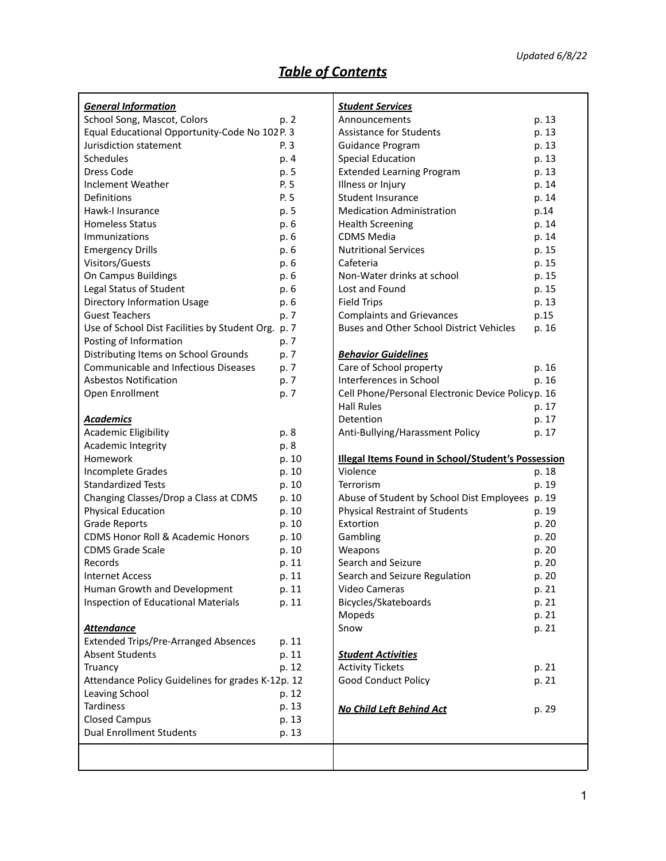# *Table of Contents*

| <u>General Information</u>                         |       | <u>Studen</u>     |
|----------------------------------------------------|-------|-------------------|
| School Song, Mascot, Colors                        | p. 2  | Annour            |
| Equal Educational Opportunity-Code No 102 P. 3     |       | Assistar          |
| Jurisdiction statement                             | P. 3  | Guidan            |
| Schedules                                          | p. 4  | Special           |
| Dress Code                                         | p. 5  | <b>Extend</b>     |
| Inclement Weather                                  | P. 5  | Illness o         |
| Definitions                                        | P. 5  | Studen            |
| Hawk-I Insurance                                   | p. 5  | Medica            |
| <b>Homeless Status</b>                             | p. 6  | Health            |
| Immunizations                                      | p. 6  | CDMS <sup>I</sup> |
| <b>Emergency Drills</b>                            | p. 6  | Nutritio          |
| Visitors/Guests                                    | p. 6  | Cafeter           |
| On Campus Buildings                                | p. 6  | Non-W             |
| Legal Status of Student                            | p. 6  | Lost an           |
| Directory Information Usage                        | p. 6  | Field Tr          |
| <b>Guest Teachers</b>                              | p. 7  | Compla            |
| Use of School Dist Facilities by Student Org. p. 7 |       | Buses a           |
| Posting of Information                             | p. 7  |                   |
| Distributing Items on School Grounds               | p. 7  | <u>Behavid</u>    |
| <b>Communicable and Infectious Diseases</b>        | p. 7  | Care of           |
| <b>Asbestos Notification</b>                       | p. 7  | Interfer          |
| Open Enrollment                                    | p. 7  | Cell Pho          |
|                                                    |       | Hall Ru           |
| <b>Academics</b>                                   |       | Detenti           |
| Academic Eligibility                               | p. 8  | Anti-Bu           |
| Academic Integrity                                 | p. 8  |                   |
| Homework                                           | p. 10 | <b>Illegal I</b>  |
| Incomplete Grades                                  | p. 10 | Violenc           |
| <b>Standardized Tests</b>                          | p. 10 | Terroris          |
| Changing Classes/Drop a Class at CDMS              | p. 10 | Abuse o           |
| <b>Physical Education</b>                          | p. 10 | Physica           |
| <b>Grade Reports</b>                               | p. 10 | Extortio          |
| CDMS Honor Roll & Academic Honors                  | p. 10 | Gambli            |
| <b>CDMS Grade Scale</b>                            | p. 10 | Weapo             |
| Records                                            | p. 11 | Search            |
| <b>Internet Access</b>                             | p. 11 | Search            |
| Human Growth and Development                       | p. 11 | Video C           |
| <b>Inspection of Educational Materials</b>         | p. 11 | <b>Bicycles</b>   |
|                                                    |       | Moped             |
| <b>Attendance</b>                                  |       | Snow              |
| <b>Extended Trips/Pre-Arranged Absences</b>        | p. 11 |                   |
| <b>Absent Students</b>                             | p. 11 | <b>Studen</b>     |
| Truancy                                            | p. 12 | Activity          |
| Attendance Policy Guidelines for grades K-12p. 12  |       | Good C            |
| Leaving School                                     | p. 12 |                   |
| <b>Tardiness</b>                                   | p. 13 |                   |
| <b>Closed Campus</b>                               | p. 13 | No Chil           |
| <b>Dual Enrollment Students</b>                    | p. 13 |                   |
|                                                    |       |                   |
|                                                    |       |                   |
|                                                    |       |                   |

| <u> Student Services</u>                                  |       |
|-----------------------------------------------------------|-------|
| Announcements                                             | p. 13 |
| <b>Assistance for Students</b>                            | p. 13 |
| <b>Guidance Program</b>                                   | p. 13 |
| <b>Special Education</b>                                  | p. 13 |
| <b>Extended Learning Program</b>                          | p. 13 |
| Illness or Injury                                         | p. 14 |
| Student Insurance                                         | p. 14 |
| <b>Medication Administration</b>                          | p.14  |
| <b>Health Screening</b>                                   | p. 14 |
| <b>CDMS Media</b>                                         | p. 14 |
| <b>Nutritional Services</b>                               | p. 15 |
| Cafeteria                                                 | p. 15 |
| Non-Water drinks at school                                | p. 15 |
| Lost and Found                                            | p. 15 |
| <b>Field Trips</b>                                        | p. 13 |
| <b>Complaints and Grievances</b>                          | p.15  |
| <b>Buses and Other School District Vehicles</b>           | p. 16 |
|                                                           |       |
| <u> Behavior Guidelines</u>                               |       |
| Care of School property                                   | p. 16 |
| Interferences in School                                   | p. 16 |
| Cell Phone/Personal Electronic Device Policyp. 16         |       |
| Hall Rules                                                | p. 17 |
| Detention                                                 | p. 17 |
| Anti-Bullying/Harassment Policy                           | p. 17 |
| <b>Illegal Items Found in School/Student's Possession</b> |       |
| Violence                                                  | p. 18 |
| Terrorism                                                 | p. 19 |
| Abuse of Student by School Dist Employees p. 19           |       |
| Physical Restraint of Students                            | p. 19 |
| Extortion                                                 | p. 20 |
| Gambling                                                  | p. 20 |
| Weapons                                                   | p. 20 |
| Search and Seizure                                        | p. 20 |
| Search and Seizure Regulation                             | p. 20 |
| Video Cameras                                             | p. 21 |
| Bicycles/Skateboards                                      | p. 21 |
| Mopeds                                                    | p. 21 |
| Snow                                                      | p. 21 |
|                                                           |       |
| <u> Student Activities</u>                                |       |
| <b>Activity Tickets</b>                                   | p. 21 |
| <b>Good Conduct Policy</b>                                | p. 21 |
| <u>No Child Left Behind Act</u>                           | p. 29 |
|                                                           |       |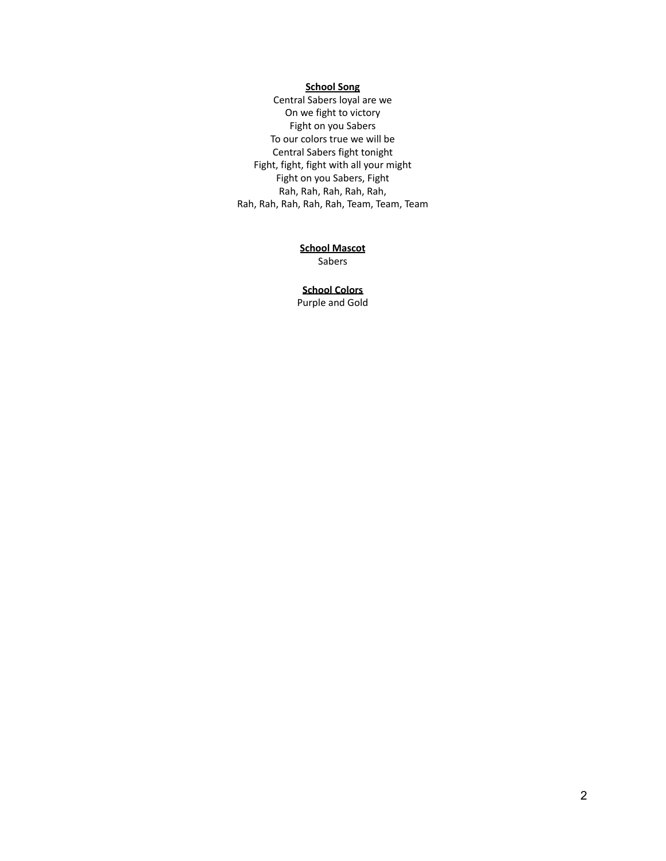## **School Song**

Central Sabers loyal are we On we fight to victory Fight on you Sabers To our colors true we will be Central Sabers fight tonight Fight, fight, fight with all your might Fight on you Sabers, Fight Rah, Rah, Rah, Rah, Rah, Rah, Rah, Rah, Rah, Rah, Team, Team, Team

## **School Mascot**

Sabers

## **School Colors**

Purple and Gold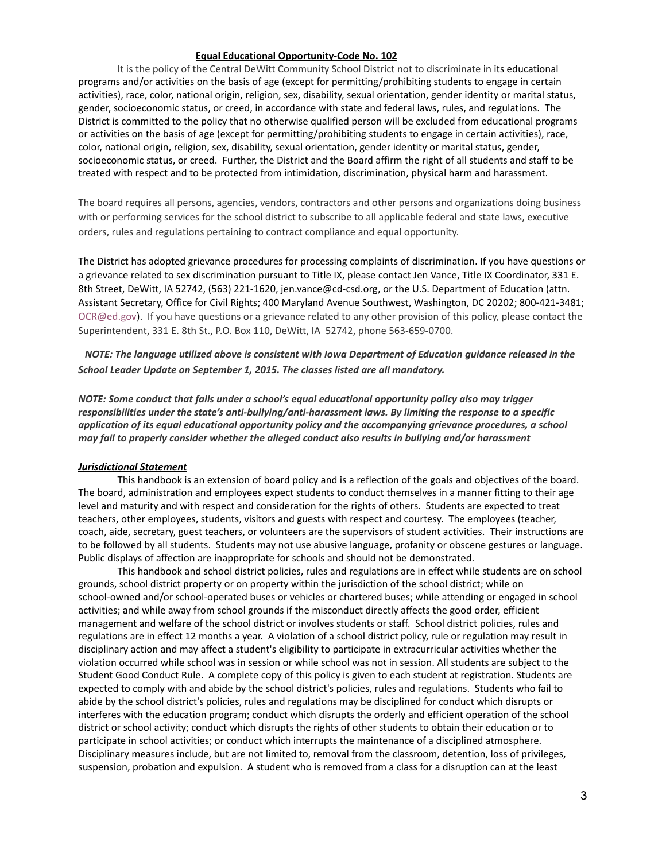### **Equal Educational Opportunity-Code No. 102**

It is the policy of the Central DeWitt Community School District not to discriminate in its educational programs and/or activities on the basis of age (except for permitting/prohibiting students to engage in certain activities), race, color, national origin, religion, sex, disability, sexual orientation, gender identity or marital status, gender, socioeconomic status, or creed, in accordance with state and federal laws, rules, and regulations. The District is committed to the policy that no otherwise qualified person will be excluded from educational programs or activities on the basis of age (except for permitting/prohibiting students to engage in certain activities), race, color, national origin, religion, sex, disability, sexual orientation, gender identity or marital status, gender, socioeconomic status, or creed. Further, the District and the Board affirm the right of all students and staff to be treated with respect and to be protected from intimidation, discrimination, physical harm and harassment.

The board requires all persons, agencies, vendors, contractors and other persons and organizations doing business with or performing services for the school district to subscribe to all applicable federal and state laws, executive orders, rules and regulations pertaining to contract compliance and equal opportunity.

The District has adopted grievance procedures for processing complaints of discrimination. If you have questions or a grievance related to sex discrimination pursuant to Title IX, please contact Jen Vance, Title IX Coordinator, 331 E. 8th Street, DeWitt, IA 52742, (563) 221-1620, jen.vance@cd-csd.org, or the U.S. Department of Education (attn. Assistant Secretary, Office for Civil Rights; 400 Maryland Avenue Southwest, Washington, DC 20202; 800-421-3481; OCR@ed.gov). If you have questions or a grievance related to any other provision of this policy, please contact the Superintendent, 331 E. 8th St., P.O. Box 110, DeWitt, IA 52742, phone 563-659-0700.

*NOTE: The language utilized above is consistent with Iowa Department of Education guidance released in the School Leader Update on September 1, 2015. The classes listed are all mandatory.*

*NOTE: Some conduct that falls under a school's equal educational opportunity policy also may trigger responsibilities under the state's anti-bullying/anti-harassment laws. By limiting the response to a specific application of its equal educational opportunity policy and the accompanying grievance procedures, a school may fail to properly consider whether the alleged conduct also results in bullying and/or harassment*

### *Jurisdictional Statement*

This handbook is an extension of board policy and is a reflection of the goals and objectives of the board. The board, administration and employees expect students to conduct themselves in a manner fitting to their age level and maturity and with respect and consideration for the rights of others. Students are expected to treat teachers, other employees, students, visitors and guests with respect and courtesy. The employees (teacher, coach, aide, secretary, guest teachers, or volunteers are the supervisors of student activities. Their instructions are to be followed by all students. Students may not use abusive language, profanity or obscene gestures or language. Public displays of affection are inappropriate for schools and should not be demonstrated.

This handbook and school district policies, rules and regulations are in effect while students are on school grounds, school district property or on property within the jurisdiction of the school district; while on school-owned and/or school-operated buses or vehicles or chartered buses; while attending or engaged in school activities; and while away from school grounds if the misconduct directly affects the good order, efficient management and welfare of the school district or involves students or staff. School district policies, rules and regulations are in effect 12 months a year. A violation of a school district policy, rule or regulation may result in disciplinary action and may affect a student's eligibility to participate in extracurricular activities whether the violation occurred while school was in session or while school was not in session. All students are subject to the Student Good Conduct Rule. A complete copy of this policy is given to each student at registration. Students are expected to comply with and abide by the school district's policies, rules and regulations. Students who fail to abide by the school district's policies, rules and regulations may be disciplined for conduct which disrupts or interferes with the education program; conduct which disrupts the orderly and efficient operation of the school district or school activity; conduct which disrupts the rights of other students to obtain their education or to participate in school activities; or conduct which interrupts the maintenance of a disciplined atmosphere. Disciplinary measures include, but are not limited to, removal from the classroom, detention, loss of privileges, suspension, probation and expulsion. A student who is removed from a class for a disruption can at the least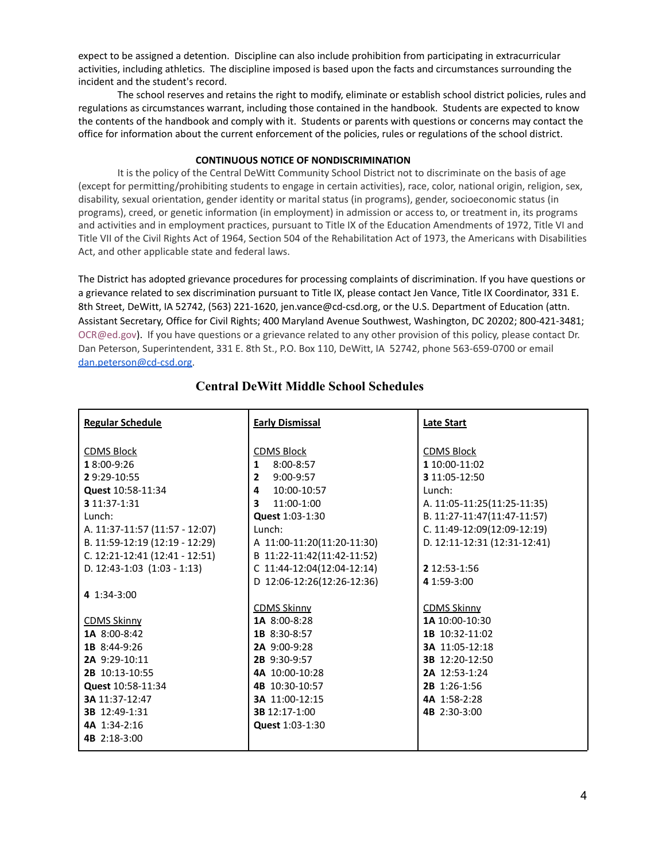expect to be assigned a detention. Discipline can also include prohibition from participating in extracurricular activities, including athletics. The discipline imposed is based upon the facts and circumstances surrounding the incident and the student's record.

The school reserves and retains the right to modify, eliminate or establish school district policies, rules and regulations as circumstances warrant, including those contained in the handbook. Students are expected to know the contents of the handbook and comply with it. Students or parents with questions or concerns may contact the office for information about the current enforcement of the policies, rules or regulations of the school district.

### **CONTINUOUS NOTICE OF NONDISCRIMINATION**

It is the policy of the Central DeWitt Community School District not to discriminate on the basis of age (except for permitting/prohibiting students to engage in certain activities), race, color, national origin, religion, sex, disability, sexual orientation, gender identity or marital status (in programs), gender, socioeconomic status (in programs), creed, or genetic information (in employment) in admission or access to, or treatment in, its programs and activities and in employment practices, pursuant to Title IX of the Education Amendments of 1972, Title VI and Title VII of the Civil Rights Act of 1964, Section 504 of the Rehabilitation Act of 1973, the Americans with Disabilities Act, and other applicable state and federal laws.

The District has adopted grievance procedures for processing complaints of discrimination. If you have questions or a grievance related to sex discrimination pursuant to Title IX, please contact Jen Vance, Title IX Coordinator, 331 E. 8th Street, DeWitt, IA 52742, (563) 221-1620, jen.vance@cd-csd.org, or the U.S. Department of Education (attn. Assistant Secretary, Office for Civil Rights; 400 Maryland Avenue Southwest, Washington, DC 20202; 800-421-3481; OCR@ed.gov). If you have questions or a grievance related to any other provision of this policy, please contact Dr. Dan Peterson, Superintendent, 331 E. 8th St., P.O. Box 110, DeWitt, IA 52742, phone 563-659-0700 or email [dan.peterson@cd-csd.org.](mailto:dan.peterson@cd-csd.org)

| <b>Regular Schedule</b>          | <b>Early Dismissal</b>      | <b>Late Start</b>            |
|----------------------------------|-----------------------------|------------------------------|
| <b>CDMS Block</b>                | <b>CDMS Block</b>           | <b>CDMS Block</b>            |
| 18:00-9:26                       | 8:00-8:57<br>$\mathbf 1$    | 1 10:00-11:02                |
| 29:29-10:55                      | $9:00-9:57$<br>$\mathbf{2}$ | 3 11:05-12:50                |
| Quest 10:58-11:34                | 4 10:00-10:57               | Lunch:                       |
| 3 11:37-1:31                     | 3 $11:00-1:00$              | A. 11:05-11:25(11:25-11:35)  |
| Lunch:                           | Quest 1:03-1:30             | B. 11:27-11:47(11:47-11:57)  |
| A. 11:37-11:57 (11:57 - 12:07)   | Lunch:                      | C. 11:49-12:09(12:09-12:19)  |
| B. 11:59-12:19 (12:19 - 12:29)   | A 11:00-11:20(11:20-11:30)  | D. 12:11-12:31 (12:31-12:41) |
| C. $12:21-12:41$ (12:41 - 12:51) | B 11:22-11:42(11:42-11:52)  |                              |
| D. $12:43-1:03$ $(1:03 - 1:13)$  | C 11:44-12:04(12:04-12:14)  | 2 12:53-1:56                 |
|                                  | D 12:06-12:26(12:26-12:36)  | 4 1:59-3:00                  |
| 4 $1:34-3:00$                    |                             |                              |
|                                  | <b>CDMS Skinny</b>          | <b>CDMS Skinny</b>           |
| <b>CDMS Skinny</b>               | <b>1A</b> 8:00-8:28         | 1A 10:00-10:30               |
| 1A 8:00-8:42                     | 1B 8:30-8:57                | 1B 10:32-11:02               |
| 1B 8:44-9:26                     | 2A 9:00-9:28                | 3A 11:05-12:18               |
| 2A 9:29-10:11                    | 2B 9:30-9:57                | 3B 12:20-12:50               |
| 2B 10:13-10:55                   | 4A 10:00-10:28              | 2A 12:53-1:24                |
| Quest 10:58-11:34                | 4B 10:30-10:57              | 2B 1:26-1:56                 |
| 3A 11:37-12:47                   | 3A 11:00-12:15              | 4A 1:58-2:28                 |
| 3B 12:49-1:31                    | 3B 12:17-1:00               | 4B 2:30-3:00                 |
| 4A 1:34-2:16                     | Quest 1:03-1:30             |                              |
| 4B 2:18-3:00                     |                             |                              |

## **Central DeWitt Middle School Schedules**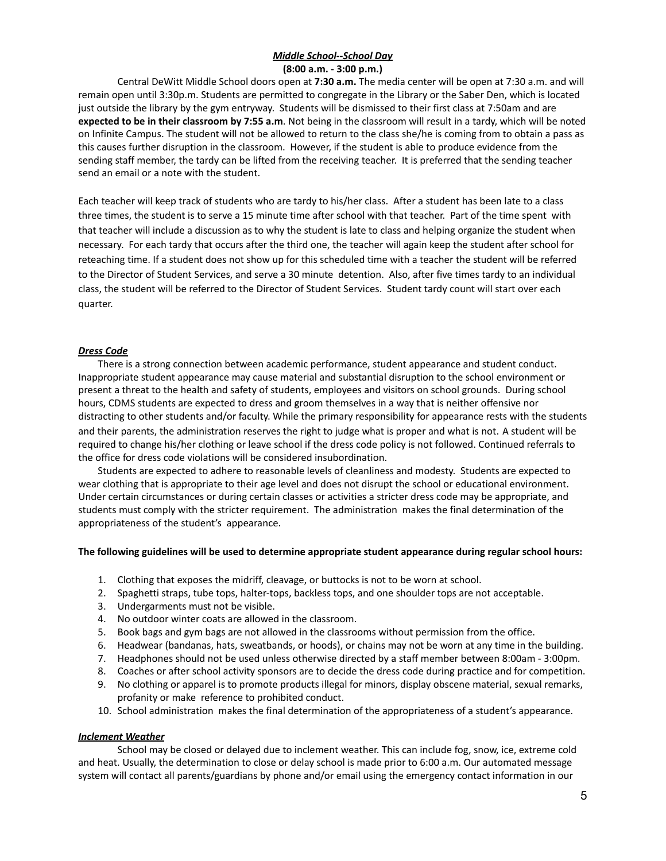## *Middle School--School Day* **(8:00 a.m. - 3:00 p.m.)**

Central DeWitt Middle School doors open at **7:30 a.m.** The media center will be open at 7:30 a.m. and will remain open until 3:30p.m. Students are permitted to congregate in the Library or the Saber Den, which is located just outside the library by the gym entryway. Students will be dismissed to their first class at 7:50am and are **expected to be in their classroom by 7:55 a.m**. Not being in the classroom will result in a tardy, which will be noted on Infinite Campus. The student will not be allowed to return to the class she/he is coming from to obtain a pass as this causes further disruption in the classroom. However, if the student is able to produce evidence from the sending staff member, the tardy can be lifted from the receiving teacher. It is preferred that the sending teacher send an email or a note with the student.

Each teacher will keep track of students who are tardy to his/her class. After a student has been late to a class three times, the student is to serve a 15 minute time after school with that teacher. Part of the time spent with that teacher will include a discussion as to why the student is late to class and helping organize the student when necessary. For each tardy that occurs after the third one, the teacher will again keep the student after school for reteaching time. If a student does not show up for this scheduled time with a teacher the student will be referred to the Director of Student Services, and serve a 30 minute detention. Also, after five times tardy to an individual class, the student will be referred to the Director of Student Services. Student tardy count will start over each quarter.

## *Dress Code*

There is a strong connection between academic performance, student appearance and student conduct. Inappropriate student appearance may cause material and substantial disruption to the school environment or present a threat to the health and safety of students, employees and visitors on school grounds. During school hours, CDMS students are expected to dress and groom themselves in a way that is neither offensive nor distracting to other students and/or faculty. While the primary responsibility for appearance rests with the students and their parents, the administration reserves the right to judge what is proper and what is not. A student will be required to change his/her clothing or leave school if the dress code policy is not followed. Continued referrals to the office for dress code violations will be considered insubordination.

Students are expected to adhere to reasonable levels of cleanliness and modesty. Students are expected to wear clothing that is appropriate to their age level and does not disrupt the school or educational environment. Under certain circumstances or during certain classes or activities a stricter dress code may be appropriate, and students must comply with the stricter requirement. The administration makes the final determination of the appropriateness of the student's appearance.

### **The following guidelines will be used to determine appropriate student appearance during regular school hours:**

- 1. Clothing that exposes the midriff, cleavage, or buttocks is not to be worn at school.
- 2. Spaghetti straps, tube tops, halter-tops, backless tops, and one shoulder tops are not acceptable.
- 3. Undergarments must not be visible.
- 4. No outdoor winter coats are allowed in the classroom.
- 5. Book bags and gym bags are not allowed in the classrooms without permission from the office.
- 6. Headwear (bandanas, hats, sweatbands, or hoods), or chains may not be worn at any time in the building.
- 7. Headphones should not be used unless otherwise directed by a staff member between 8:00am 3:00pm.
- 8. Coaches or after school activity sponsors are to decide the dress code during practice and for competition.
- 9. No clothing or apparel is to promote products illegal for minors, display obscene material, sexual remarks, profanity or make reference to prohibited conduct.
- 10. School administration makes the final determination of the appropriateness of a student's appearance.

### *Inclement Weather*

School may be closed or delayed due to inclement weather. This can include fog, snow, ice, extreme cold and heat. Usually, the determination to close or delay school is made prior to 6:00 a.m. Our automated message system will contact all parents/guardians by phone and/or email using the emergency contact information in our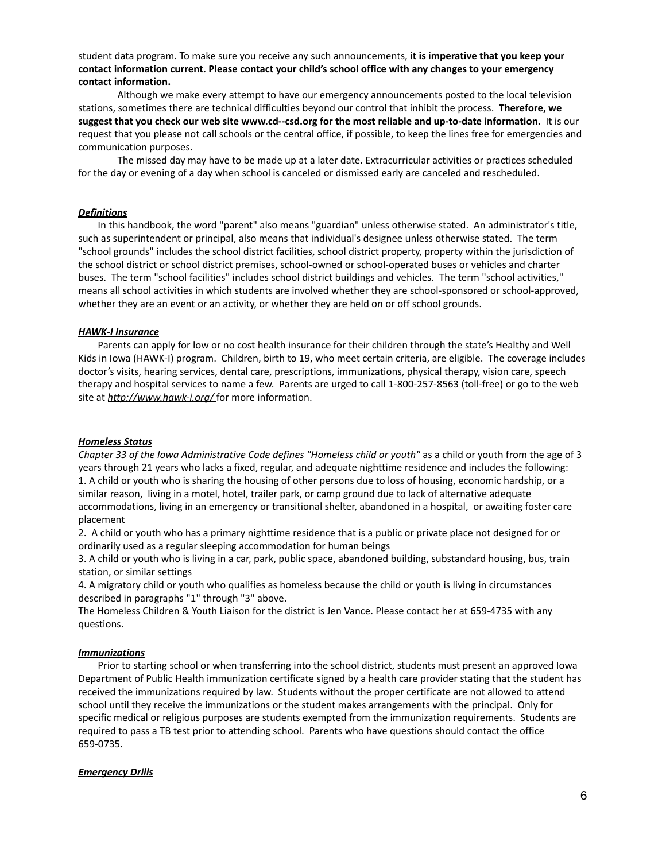student data program. To make sure you receive any such announcements, **it is imperative that you keep your contact information current. Please contact your child's school office with any changes to your emergency contact information.**

Although we make every attempt to have our emergency announcements posted to the local television stations, sometimes there are technical difficulties beyond our control that inhibit the process. **Therefore, we suggest that you check our web site www.cd--csd.org for the most reliable and up-to-date information.** It is our request that you please not call schools or the central office, if possible, to keep the lines free for emergencies and communication purposes.

The missed day may have to be made up at a later date. Extracurricular activities or practices scheduled for the day or evening of a day when school is canceled or dismissed early are canceled and rescheduled.

### *Definitions*

In this handbook, the word "parent" also means "guardian" unless otherwise stated. An administrator's title, such as superintendent or principal, also means that individual's designee unless otherwise stated. The term "school grounds" includes the school district facilities, school district property, property within the jurisdiction of the school district or school district premises, school-owned or school-operated buses or vehicles and charter buses. The term "school facilities" includes school district buildings and vehicles. The term "school activities," means all school activities in which students are involved whether they are school-sponsored or school-approved, whether they are an event or an activity, or whether they are held on or off school grounds.

#### *HAWK-I Insurance*

Parents can apply for low or no cost health insurance for their children through the state's Healthy and Well Kids in Iowa (HAWK-I) program. Children, birth to 19, who meet certain criteria, are eligible. The coverage includes doctor's visits, hearing services, dental care, prescriptions, immunizations, physical therapy, vision care, speech therapy and hospital services to name a few. Parents are urged to call 1-800-257-8563 (toll-free) or go to the web site at *http://www.hawk-i.org/* for more information.

#### *Homeless Status*

*Chapter 33 of the Iowa Administrative Code defines "Homeless child or youth"* as a child or youth from the age of 3 years through 21 years who lacks a fixed, regular, and adequate nighttime residence and includes the following: 1. A child or youth who is sharing the housing of other persons due to loss of housing, economic hardship, or a similar reason, living in a motel, hotel, trailer park, or camp ground due to lack of alternative adequate accommodations, living in an emergency or transitional shelter, abandoned in a hospital, or awaiting foster care placement

2. A child or youth who has a primary nighttime residence that is a public or private place not designed for or ordinarily used as a regular sleeping accommodation for human beings

3. A child or youth who is living in a car, park, public space, abandoned building, substandard housing, bus, train station, or similar settings

4. A migratory child or youth who qualifies as homeless because the child or youth is living in circumstances described in paragraphs "1" through "3" above.

The Homeless Children & Youth Liaison for the district is Jen Vance. Please contact her at 659-4735 with any questions.

#### *Immunizations*

Prior to starting school or when transferring into the school district, students must present an approved Iowa Department of Public Health immunization certificate signed by a health care provider stating that the student has received the immunizations required by law. Students without the proper certificate are not allowed to attend school until they receive the immunizations or the student makes arrangements with the principal. Only for specific medical or religious purposes are students exempted from the immunization requirements. Students are required to pass a TB test prior to attending school. Parents who have questions should contact the office 659-0735.

### *Emergency Drills*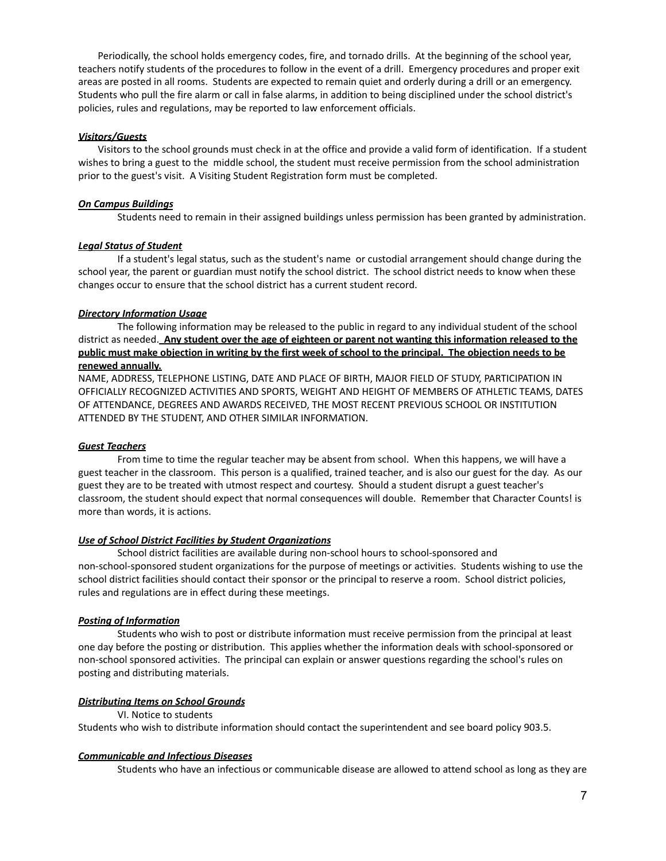Periodically, the school holds emergency codes, fire, and tornado drills. At the beginning of the school year, teachers notify students of the procedures to follow in the event of a drill. Emergency procedures and proper exit areas are posted in all rooms. Students are expected to remain quiet and orderly during a drill or an emergency. Students who pull the fire alarm or call in false alarms, in addition to being disciplined under the school district's policies, rules and regulations, may be reported to law enforcement officials.

## *Visitors/Guests*

Visitors to the school grounds must check in at the office and provide a valid form of identification. If a student wishes to bring a guest to the middle school, the student must receive permission from the school administration prior to the guest's visit. A Visiting Student Registration form must be completed.

## *On Campus Buildings*

Students need to remain in their assigned buildings unless permission has been granted by administration.

## *Legal Status of Student*

If a student's legal status, such as the student's name or custodial arrangement should change during the school year, the parent or guardian must notify the school district. The school district needs to know when these changes occur to ensure that the school district has a current student record.

## *Directory Information Usage*

The following information may be released to the public in regard to any individual student of the school district as needed. **Any student over the age of eighteen or parent not wanting this information released to the** public must make objection in writing by the first week of school to the principal. The objection needs to be **renewed annually.**

NAME, ADDRESS, TELEPHONE LISTING, DATE AND PLACE OF BIRTH, MAJOR FIELD OF STUDY, PARTICIPATION IN OFFICIALLY RECOGNIZED ACTIVITIES AND SPORTS, WEIGHT AND HEIGHT OF MEMBERS OF ATHLETIC TEAMS, DATES OF ATTENDANCE, DEGREES AND AWARDS RECEIVED, THE MOST RECENT PREVIOUS SCHOOL OR INSTITUTION ATTENDED BY THE STUDENT, AND OTHER SIMILAR INFORMATION.

## *Guest Teachers*

From time to time the regular teacher may be absent from school. When this happens, we will have a guest teacher in the classroom. This person is a qualified, trained teacher, and is also our guest for the day. As our guest they are to be treated with utmost respect and courtesy. Should a student disrupt a guest teacher's classroom, the student should expect that normal consequences will double. Remember that Character Counts! is more than words, it is actions.

## *Use of School District Facilities by Student Organizations*

School district facilities are available during non-school hours to school-sponsored and non-school-sponsored student organizations for the purpose of meetings or activities. Students wishing to use the school district facilities should contact their sponsor or the principal to reserve a room. School district policies, rules and regulations are in effect during these meetings.

## *Posting of Information*

Students who wish to post or distribute information must receive permission from the principal at least one day before the posting or distribution. This applies whether the information deals with school-sponsored or non-school sponsored activities. The principal can explain or answer questions regarding the school's rules on posting and distributing materials.

## *Distributing Items on School Grounds*

VI. Notice to students Students who wish to distribute information should contact the superintendent and see board policy 903.5.

### *Communicable and Infectious Diseases*

Students who have an infectious or communicable disease are allowed to attend school as long as they are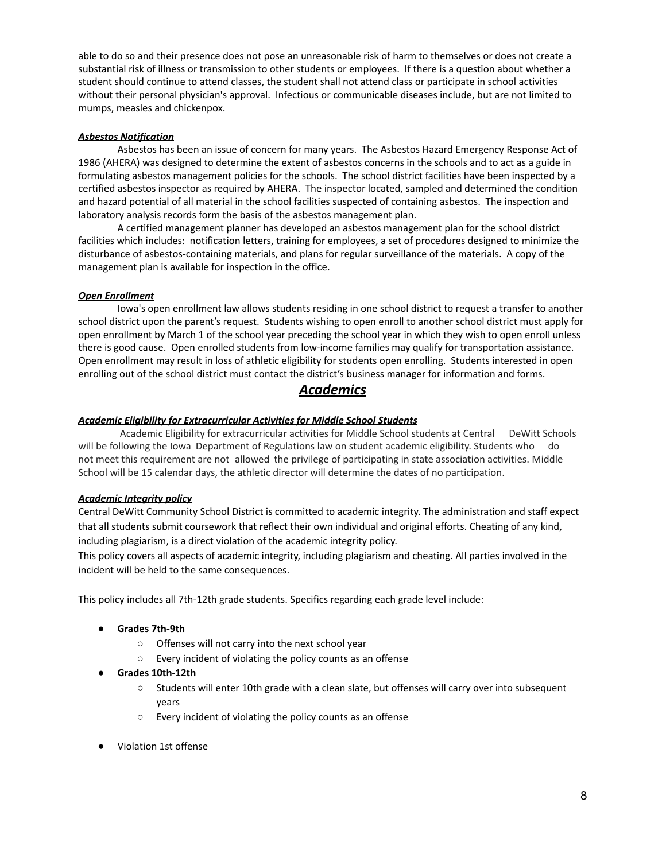able to do so and their presence does not pose an unreasonable risk of harm to themselves or does not create a substantial risk of illness or transmission to other students or employees. If there is a question about whether a student should continue to attend classes, the student shall not attend class or participate in school activities without their personal physician's approval. Infectious or communicable diseases include, but are not limited to mumps, measles and chickenpox.

## *Asbestos Notification*

Asbestos has been an issue of concern for many years. The Asbestos Hazard Emergency Response Act of 1986 (AHERA) was designed to determine the extent of asbestos concerns in the schools and to act as a guide in formulating asbestos management policies for the schools. The school district facilities have been inspected by a certified asbestos inspector as required by AHERA. The inspector located, sampled and determined the condition and hazard potential of all material in the school facilities suspected of containing asbestos. The inspection and laboratory analysis records form the basis of the asbestos management plan.

A certified management planner has developed an asbestos management plan for the school district facilities which includes: notification letters, training for employees, a set of procedures designed to minimize the disturbance of asbestos-containing materials, and plans for regular surveillance of the materials. A copy of the management plan is available for inspection in the office.

## *Open Enrollment*

Iowa's open enrollment law allows students residing in one school district to request a transfer to another school district upon the parent's request. Students wishing to open enroll to another school district must apply for open enrollment by March 1 of the school year preceding the school year in which they wish to open enroll unless there is good cause. Open enrolled students from low-income families may qualify for transportation assistance. Open enrollment may result in loss of athletic eligibility for students open enrolling. Students interested in open enrolling out of the school district must contact the district's business manager for information and forms.

## *Academics*

## *Academic Eligibility for Extracurricular Activities for Middle School Students*

Academic Eligibility for extracurricular activities for Middle School students at Central DeWitt Schools will be following the Iowa Department of Regulations law on student academic eligibility. Students who do not meet this requirement are not allowed the privilege of participating in state association activities. Middle School will be 15 calendar days, the athletic director will determine the dates of no participation.

### *Academic Integrity policy*

Central DeWitt Community School District is committed to academic integrity. The administration and staff expect that all students submit coursework that reflect their own individual and original efforts. Cheating of any kind, including plagiarism, is a direct violation of the academic integrity policy.

This policy covers all aspects of academic integrity, including plagiarism and cheating. All parties involved in the incident will be held to the same consequences.

This policy includes all 7th-12th grade students. Specifics regarding each grade level include:

- **● Grades 7th-9th**
	- Offenses will not carry into the next school year
	- Every incident of violating the policy counts as an offense
- **● Grades 10th-12th**
	- Students will enter 10th grade with a clean slate, but offenses will carry over into subsequent years
	- Every incident of violating the policy counts as an offense
- Violation 1st offense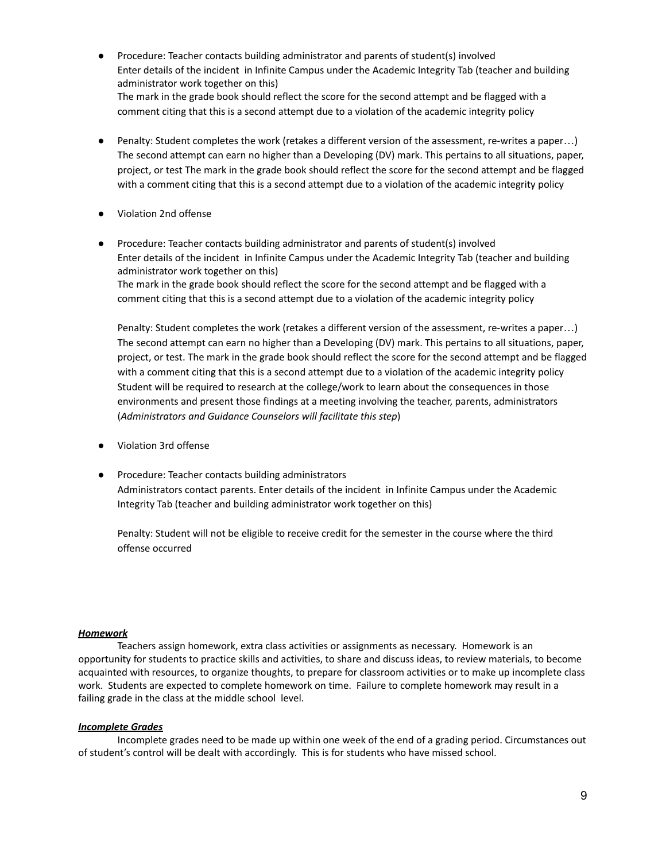- Procedure: Teacher contacts building administrator and parents of student(s) involved Enter details of the incident in Infinite Campus under the Academic Integrity Tab (teacher and building administrator work together on this) The mark in the grade book should reflect the score for the second attempt and be flagged with a comment citing that this is a second attempt due to a violation of the academic integrity policy
- Penalty: Student completes the work (retakes a different version of the assessment, re-writes a paper…) The second attempt can earn no higher than a Developing (DV) mark. This pertains to all situations, paper, project, or test The mark in the grade book should reflect the score for the second attempt and be flagged with a comment citing that this is a second attempt due to a violation of the academic integrity policy
- Violation 2nd offense
- Procedure: Teacher contacts building administrator and parents of student(s) involved Enter details of the incident in Infinite Campus under the Academic Integrity Tab (teacher and building administrator work together on this) The mark in the grade book should reflect the score for the second attempt and be flagged with a comment citing that this is a second attempt due to a violation of the academic integrity policy

Penalty: Student completes the work (retakes a different version of the assessment, re-writes a paper…) The second attempt can earn no higher than a Developing (DV) mark. This pertains to all situations, paper, project, or test. The mark in the grade book should reflect the score for the second attempt and be flagged with a comment citing that this is a second attempt due to a violation of the academic integrity policy Student will be required to research at the college/work to learn about the consequences in those environments and present those findings at a meeting involving the teacher, parents, administrators (*Administrators and Guidance Counselors will facilitate this step*)

- Violation 3rd offense
- Procedure: Teacher contacts building administrators Administrators contact parents. Enter details of the incident in Infinite Campus under the Academic Integrity Tab (teacher and building administrator work together on this)

Penalty: Student will not be eligible to receive credit for the semester in the course where the third offense occurred

## *Homework*

Teachers assign homework, extra class activities or assignments as necessary. Homework is an opportunity for students to practice skills and activities, to share and discuss ideas, to review materials, to become acquainted with resources, to organize thoughts, to prepare for classroom activities or to make up incomplete class work. Students are expected to complete homework on time. Failure to complete homework may result in a failing grade in the class at the middle school level.

## *Incomplete Grades*

Incomplete grades need to be made up within one week of the end of a grading period. Circumstances out of student's control will be dealt with accordingly. This is for students who have missed school.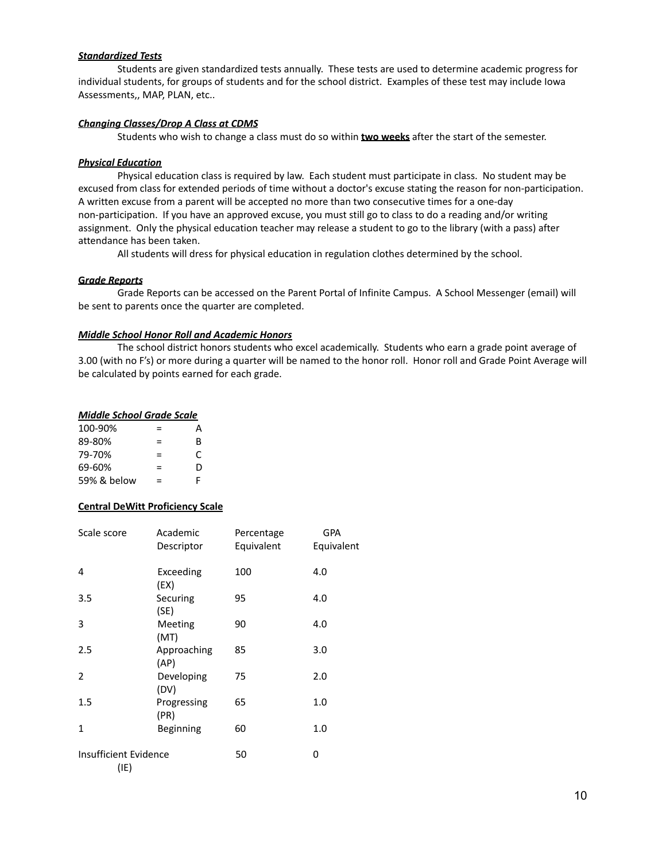### *Standardized Tests*

Students are given standardized tests annually. These tests are used to determine academic progress for individual students, for groups of students and for the school district. Examples of these test may include Iowa Assessments,, MAP, PLAN, etc..

## *Changing Classes/Drop A Class at CDMS*

Students who wish to change a class must do so within **two weeks** after the start of the semester.

### *Physical Education*

Physical education class is required by law. Each student must participate in class. No student may be excused from class for extended periods of time without a doctor's excuse stating the reason for non-participation. A written excuse from a parent will be accepted no more than two consecutive times for a one-day non-participation. If you have an approved excuse, you must still go to class to do a reading and/or writing assignment. Only the physical education teacher may release a student to go to the library (with a pass) after attendance has been taken.

All students will dress for physical education in regulation clothes determined by the school.

### **G***rade Reports*

Grade Reports can be accessed on the Parent Portal of Infinite Campus. A School Messenger (email) will be sent to parents once the quarter are completed.

### *Middle School Honor Roll and Academic Honors*

The school district honors students who excel academically. Students who earn a grade point average of 3.00 (with no F's) or more during a quarter will be named to the honor roll. Honor roll and Grade Point Average will be calculated by points earned for each grade.

### *Middle School Grade Scale*

| 100-90%     | =   | А |
|-------------|-----|---|
| 89-80%      | =   | R |
| 79-70%      | =   | C |
| 69-60%      | $=$ | D |
| 59% & below | =   | F |

### **Central DeWitt Proficiency Scale**

| Scale score                   | Academic<br>Descriptor | Percentage<br>Equivalent | <b>GPA</b><br>Equivalent |
|-------------------------------|------------------------|--------------------------|--------------------------|
| 4                             | Exceeding<br>(EX)      | 100                      | 4.0                      |
| 3.5                           | Securing<br>(SE)       | 95                       | 4.0                      |
| 3                             | Meeting<br>(MT)        | 90                       | 4.0                      |
| 2.5                           | Approaching<br>(AP)    | 85                       | 3.0                      |
| 2                             | Developing<br>(DV)     | 75                       | 2.0                      |
| 1.5                           | Progressing<br>(PR)    | 65                       | 1.0                      |
| 1                             | Beginning              | 60                       | 1.0                      |
| Insufficient Evidence<br>(IE) |                        | 50                       | 0                        |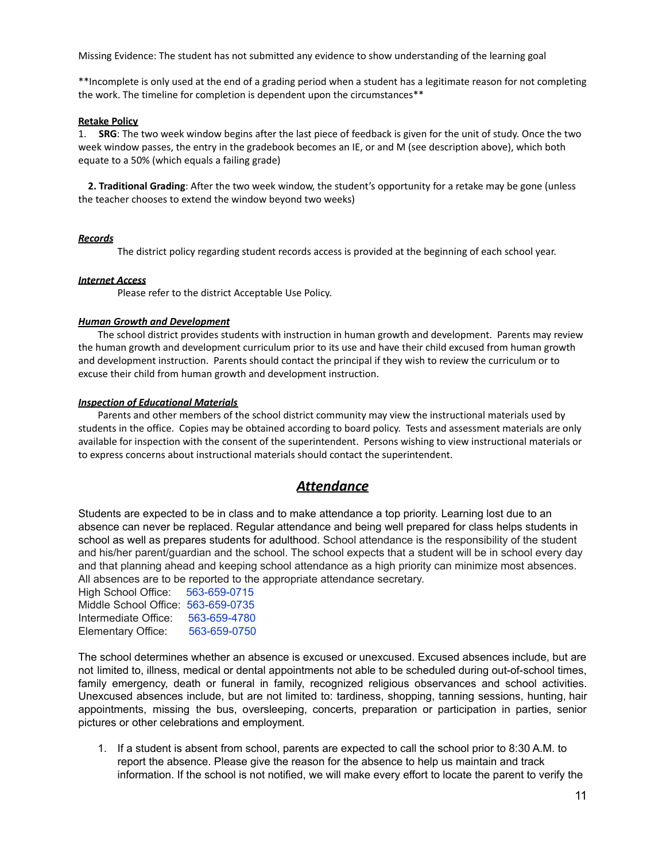Missing Evidence: The student has not submitted any evidence to show understanding of the learning goal

\*\*Incomplete is only used at the end of a grading period when a student has a legitimate reason for not completing the work. The timeline for completion is dependent upon the circumstances\*\*

### **Retake Policy**

1. **SRG**: The two week window begins after the last piece of feedback is given for the unit of study. Once the two week window passes, the entry in the gradebook becomes an IE, or and M (see description above), which both equate to a 50% (which equals a failing grade)

**2. Traditional Grading**: After the two week window, the student's opportunity for a retake may be gone (unless the teacher chooses to extend the window beyond two weeks)

## *Records*

The district policy regarding student records access is provided at the beginning of each school year.

## *Internet Access*

Please refer to the district Acceptable Use Policy.

## *Human Growth and Development*

The school district provides students with instruction in human growth and development. Parents may review the human growth and development curriculum prior to its use and have their child excused from human growth and development instruction. Parents should contact the principal if they wish to review the curriculum or to excuse their child from human growth and development instruction.

## *Inspection of Educational Materials*

Parents and other members of the school district community may view the instructional materials used by students in the office. Copies may be obtained according to board policy. Tests and assessment materials are only available for inspection with the consent of the superintendent. Persons wishing to view instructional materials or to express concerns about instructional materials should contact the superintendent.

## *Attendance*

Students are expected to be in class and to make attendance a top priority. Learning lost due to an absence can never be replaced. Regular attendance and being well prepared for class helps students in school as well as prepares students for adulthood. School attendance is the responsibility of the student and his/her parent/guardian and the school. The school expects that a student will be in school every day and that planning ahead and keeping school attendance as a high priority can minimize most absences. All absences are to be reported to the appropriate attendance secretary.

| High School Office:                | 563-659-0715 |
|------------------------------------|--------------|
| Middle School Office: 563-659-0735 |              |
| Intermediate Office:               | 563-659-4780 |
| Elementary Office:                 | 563-659-0750 |

The school determines whether an absence is excused or unexcused. Excused absences include, but are not limited to, illness, medical or dental appointments not able to be scheduled during out-of-school times, family emergency, death or funeral in family, recognized religious observances and school activities. Unexcused absences include, but are not limited to: tardiness, shopping, tanning sessions, hunting, hair appointments, missing the bus, oversleeping, concerts, preparation or participation in parties, senior pictures or other celebrations and employment.

1. If a student is absent from school, parents are expected to call the school prior to 8:30 A.M. to report the absence. Please give the reason for the absence to help us maintain and track information. If the school is not notified, we will make every effort to locate the parent to verify the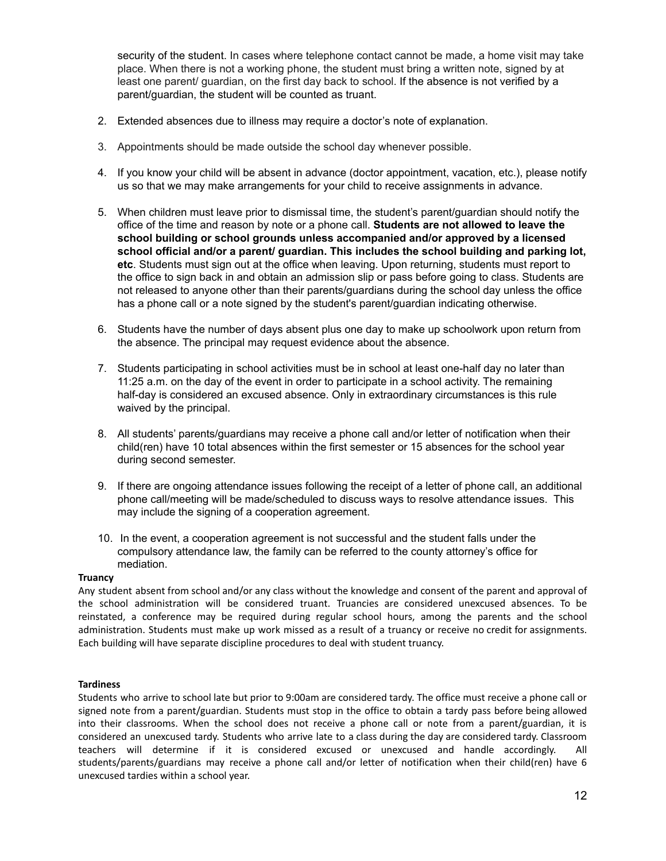security of the student. In cases where telephone contact cannot be made, a home visit may take place. When there is not a working phone, the student must bring a written note, signed by at least one parent/ guardian, on the first day back to school. If the absence is not verified by a parent/guardian, the student will be counted as truant.

- 2. Extended absences due to illness may require a doctor's note of explanation.
- 3. Appointments should be made outside the school day whenever possible.
- 4. If you know your child will be absent in advance (doctor appointment, vacation, etc.), please notify us so that we may make arrangements for your child to receive assignments in advance.
- 5. When children must leave prior to dismissal time, the student's parent/guardian should notify the office of the time and reason by note or a phone call. **Students are not allowed to leave the school building or school grounds unless accompanied and/or approved by a licensed school official and/or a parent/ guardian. This includes the school building and parking lot, etc**. Students must sign out at the office when leaving. Upon returning, students must report to the office to sign back in and obtain an admission slip or pass before going to class. Students are not released to anyone other than their parents/guardians during the school day unless the office has a phone call or a note signed by the student's parent/guardian indicating otherwise.
- 6. Students have the number of days absent plus one day to make up schoolwork upon return from the absence. The principal may request evidence about the absence.
- 7. Students participating in school activities must be in school at least one-half day no later than 11:25 a.m. on the day of the event in order to participate in a school activity. The remaining half-day is considered an excused absence. Only in extraordinary circumstances is this rule waived by the principal.
- 8. All students' parents/guardians may receive a phone call and/or letter of notification when their child(ren) have 10 total absences within the first semester or 15 absences for the school year during second semester.
- 9. If there are ongoing attendance issues following the receipt of a letter of phone call, an additional phone call/meeting will be made/scheduled to discuss ways to resolve attendance issues. This may include the signing of a cooperation agreement.
- 10. In the event, a cooperation agreement is not successful and the student falls under the compulsory attendance law, the family can be referred to the county attorney's office for mediation.

## **Truancy**

Any student absent from school and/or any class without the knowledge and consent of the parent and approval of the school administration will be considered truant. Truancies are considered unexcused absences. To be reinstated, a conference may be required during regular school hours, among the parents and the school administration. Students must make up work missed as a result of a truancy or receive no credit for assignments. Each building will have separate discipline procedures to deal with student truancy.

### **Tardiness**

Students who arrive to school late but prior to 9:00am are considered tardy. The office must receive a phone call or signed note from a parent/guardian. Students must stop in the office to obtain a tardy pass before being allowed into their classrooms. When the school does not receive a phone call or note from a parent/guardian, it is considered an unexcused tardy. Students who arrive late to a class during the day are considered tardy. Classroom teachers will determine if it is considered excused or unexcused and handle accordingly. All students/parents/guardians may receive a phone call and/or letter of notification when their child(ren) have 6 unexcused tardies within a school year.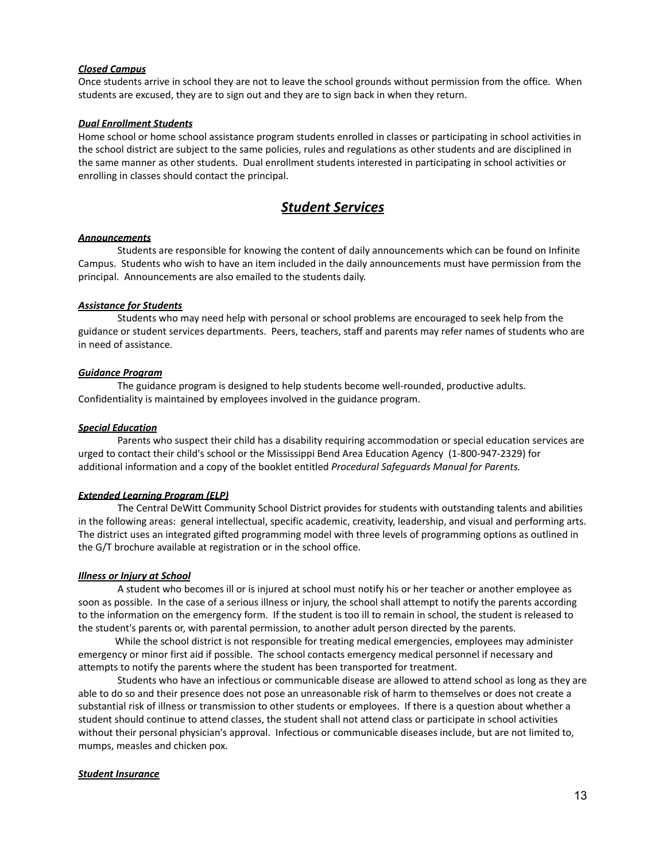## *Closed Campus*

Once students arrive in school they are not to leave the school grounds without permission from the office. When students are excused, they are to sign out and they are to sign back in when they return.

### *Dual Enrollment Students*

Home school or home school assistance program students enrolled in classes or participating in school activities in the school district are subject to the same policies, rules and regulations as other students and are disciplined in the same manner as other students. Dual enrollment students interested in participating in school activities or enrolling in classes should contact the principal.

## *Student Services*

### *Announcements*

Students are responsible for knowing the content of daily announcements which can be found on Infinite Campus. Students who wish to have an item included in the daily announcements must have permission from the principal. Announcements are also emailed to the students daily.

### *Assistance for Students*

Students who may need help with personal or school problems are encouraged to seek help from the guidance or student services departments. Peers, teachers, staff and parents may refer names of students who are in need of assistance.

### *Guidance Program*

The guidance program is designed to help students become well-rounded, productive adults. Confidentiality is maintained by employees involved in the guidance program.

### *Special Education*

Parents who suspect their child has a disability requiring accommodation or special education services are urged to contact their child's school or the Mississippi Bend Area Education Agency (1-800-947-2329) for additional information and a copy of the booklet entitled *Procedural Safeguards Manual for Parents.*

### *Extended Learning Program (ELP)*

The Central DeWitt Community School District provides for students with outstanding talents and abilities in the following areas: general intellectual, specific academic, creativity, leadership, and visual and performing arts. The district uses an integrated gifted programming model with three levels of programming options as outlined in the G/T brochure available at registration or in the school office.

### *Illness or Injury at School*

A student who becomes ill or is injured at school must notify his or her teacher or another employee as soon as possible. In the case of a serious illness or injury, the school shall attempt to notify the parents according to the information on the emergency form. If the student is too ill to remain in school, the student is released to the student's parents or, with parental permission, to another adult person directed by the parents.

While the school district is not responsible for treating medical emergencies, employees may administer emergency or minor first aid if possible. The school contacts emergency medical personnel if necessary and attempts to notify the parents where the student has been transported for treatment.

Students who have an infectious or communicable disease are allowed to attend school as long as they are able to do so and their presence does not pose an unreasonable risk of harm to themselves or does not create a substantial risk of illness or transmission to other students or employees. If there is a question about whether a student should continue to attend classes, the student shall not attend class or participate in school activities without their personal physician's approval. Infectious or communicable diseases include, but are not limited to, mumps, measles and chicken pox.

### *Student Insurance*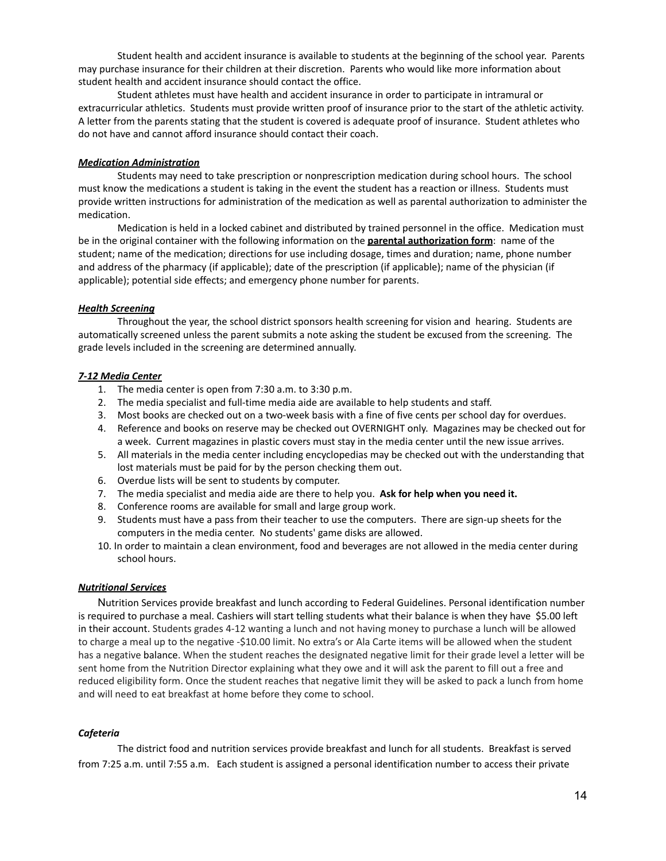Student health and accident insurance is available to students at the beginning of the school year. Parents may purchase insurance for their children at their discretion. Parents who would like more information about student health and accident insurance should contact the office.

Student athletes must have health and accident insurance in order to participate in intramural or extracurricular athletics. Students must provide written proof of insurance prior to the start of the athletic activity. A letter from the parents stating that the student is covered is adequate proof of insurance. Student athletes who do not have and cannot afford insurance should contact their coach.

### *Medication Administration*

Students may need to take prescription or nonprescription medication during school hours. The school must know the medications a student is taking in the event the student has a reaction or illness. Students must provide written instructions for administration of the medication as well as parental authorization to administer the medication.

Medication is held in a locked cabinet and distributed by trained personnel in the office. Medication must be in the original container with the following information on the **parental authorization form**: name of the student; name of the medication; directions for use including dosage, times and duration; name, phone number and address of the pharmacy (if applicable); date of the prescription (if applicable); name of the physician (if applicable); potential side effects; and emergency phone number for parents.

## *Health Screening*

Throughout the year, the school district sponsors health screening for vision and hearing. Students are automatically screened unless the parent submits a note asking the student be excused from the screening. The grade levels included in the screening are determined annually.

## *7-12 Media Center*

- 1. The media center is open from 7:30 a.m. to 3:30 p.m.
- 2. The media specialist and full-time media aide are available to help students and staff.
- 3. Most books are checked out on a two-week basis with a fine of five cents per school day for overdues.
- 4. Reference and books on reserve may be checked out OVERNIGHT only. Magazines may be checked out for a week. Current magazines in plastic covers must stay in the media center until the new issue arrives.
- 5. All materials in the media center including encyclopedias may be checked out with the understanding that lost materials must be paid for by the person checking them out.
- 6. Overdue lists will be sent to students by computer.
- 7. The media specialist and media aide are there to help you. **Ask for help when you need it.**
- 8. Conference rooms are available for small and large group work.
- 9. Students must have a pass from their teacher to use the computers. There are sign-up sheets for the computers in the media center. No students' game disks are allowed.
- 10. In order to maintain a clean environment, food and beverages are not allowed in the media center during school hours.

### *Nutritional Services*

Nutrition Services provide breakfast and lunch according to Federal Guidelines. Personal identification number is required to purchase a meal. Cashiers will start telling students what their balance is when they have \$5.00 left in their account. Students grades 4-12 wanting a lunch and not having money to purchase a lunch will be allowed to charge a meal up to the negative -\$10.00 limit. No extra's or Ala Carte items will be allowed when the student has a negative balance. When the student reaches the designated negative limit for their grade level a letter will be sent home from the Nutrition Director explaining what they owe and it will ask the parent to fill out a free and reduced eligibility form. Once the student reaches that negative limit they will be asked to pack a lunch from home and will need to eat breakfast at home before they come to school.

## *Cafeteria*

The district food and nutrition services provide breakfast and lunch for all students. Breakfast is served from 7:25 a.m. until 7:55 a.m. Each student is assigned a personal identification number to access their private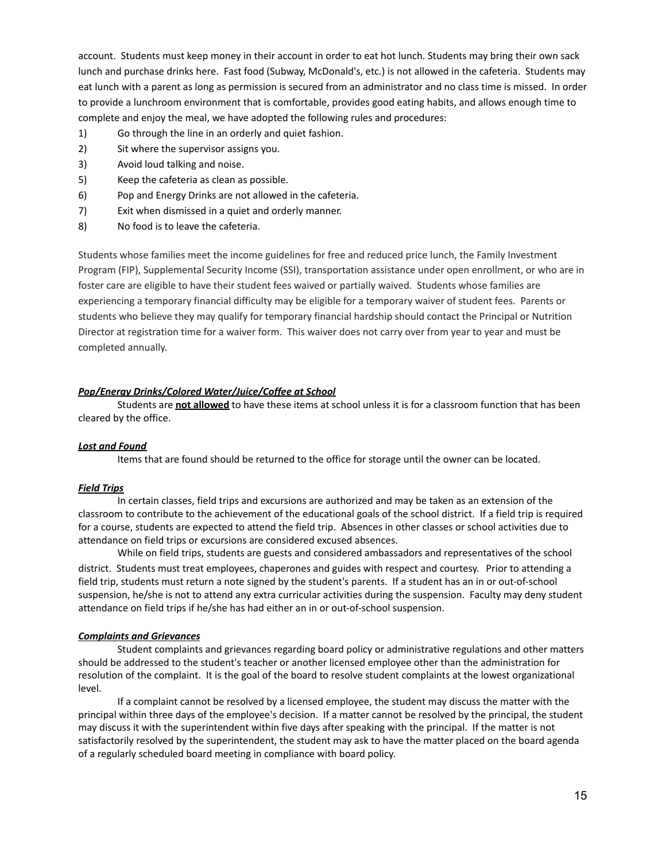account. Students must keep money in their account in order to eat hot lunch. Students may bring their own sack lunch and purchase drinks here. Fast food (Subway, McDonald's, etc.) is not allowed in the cafeteria. Students may eat lunch with a parent as long as permission is secured from an administrator and no class time is missed. In order to provide a lunchroom environment that is comfortable, provides good eating habits, and allows enough time to complete and enjoy the meal, we have adopted the following rules and procedures:

- 1) Go through the line in an orderly and quiet fashion.
- 2) Sit where the supervisor assigns you.
- 3) Avoid loud talking and noise.
- 5) Keep the cafeteria as clean as possible.
- 6) Pop and Energy Drinks are not allowed in the cafeteria.
- 7) Exit when dismissed in a quiet and orderly manner.
- 8) No food is to leave the cafeteria.

Students whose families meet the income guidelines for free and reduced price lunch, the Family Investment Program (FIP), Supplemental Security Income (SSI), transportation assistance under open enrollment, or who are in foster care are eligible to have their student fees waived or partially waived. Students whose families are experiencing a temporary financial difficulty may be eligible for a temporary waiver of student fees. Parents or students who believe they may qualify for temporary financial hardship should contact the Principal or Nutrition Director at registration time for a waiver form. This waiver does not carry over from year to year and must be completed annually.

### *Pop/Energy Drinks/Colored Water/Juice/Coffee at School*

Students are **not allowed** to have these items at school unless it is for a classroom function that has been cleared by the office.

### *Lost and Found*

Items that are found should be returned to the office for storage until the owner can be located.

### *Field Trips*

In certain classes, field trips and excursions are authorized and may be taken as an extension of the classroom to contribute to the achievement of the educational goals of the school district. If a field trip is required for a course, students are expected to attend the field trip. Absences in other classes or school activities due to attendance on field trips or excursions are considered excused absences.

While on field trips, students are guests and considered ambassadors and representatives of the school district. Students must treat employees, chaperones and guides with respect and courtesy. Prior to attending a field trip, students must return a note signed by the student's parents. If a student has an in or out-of-school suspension, he/she is not to attend any extra curricular activities during the suspension. Faculty may deny student attendance on field trips if he/she has had either an in or out-of-school suspension.

### *Complaints and Grievances*

Student complaints and grievances regarding board policy or administrative regulations and other matters should be addressed to the student's teacher or another licensed employee other than the administration for resolution of the complaint. It is the goal of the board to resolve student complaints at the lowest organizational level.

If a complaint cannot be resolved by a licensed employee, the student may discuss the matter with the principal within three days of the employee's decision. If a matter cannot be resolved by the principal, the student may discuss it with the superintendent within five days after speaking with the principal. If the matter is not satisfactorily resolved by the superintendent, the student may ask to have the matter placed on the board agenda of a regularly scheduled board meeting in compliance with board policy.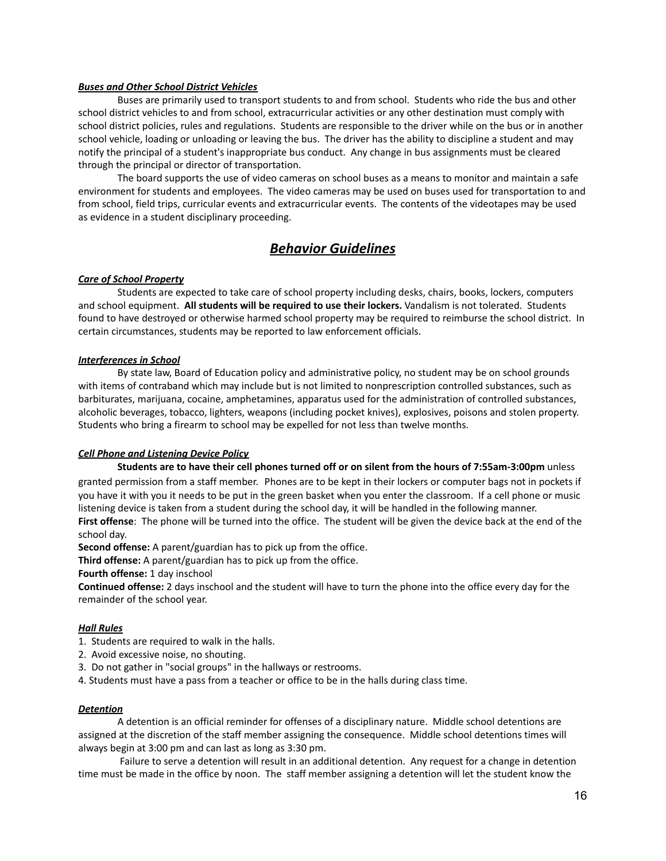## *Buses and Other School District Vehicles*

Buses are primarily used to transport students to and from school. Students who ride the bus and other school district vehicles to and from school, extracurricular activities or any other destination must comply with school district policies, rules and regulations. Students are responsible to the driver while on the bus or in another school vehicle, loading or unloading or leaving the bus. The driver has the ability to discipline a student and may notify the principal of a student's inappropriate bus conduct. Any change in bus assignments must be cleared through the principal or director of transportation.

The board supports the use of video cameras on school buses as a means to monitor and maintain a safe environment for students and employees. The video cameras may be used on buses used for transportation to and from school, field trips, curricular events and extracurricular events. The contents of the videotapes may be used as evidence in a student disciplinary proceeding.

## *Behavior Guidelines*

### *Care of School Property*

Students are expected to take care of school property including desks, chairs, books, lockers, computers and school equipment. **All students will be required to use their lockers.** Vandalism is not tolerated. Students found to have destroyed or otherwise harmed school property may be required to reimburse the school district. In certain circumstances, students may be reported to law enforcement officials.

### *Interferences in School*

By state law, Board of Education policy and administrative policy, no student may be on school grounds with items of contraband which may include but is not limited to nonprescription controlled substances, such as barbiturates, marijuana, cocaine, amphetamines, apparatus used for the administration of controlled substances, alcoholic beverages, tobacco, lighters, weapons (including pocket knives), explosives, poisons and stolen property. Students who bring a firearm to school may be expelled for not less than twelve months.

### *Cell Phone and Listening Device Policy*

## **Students are to have their cell phones turned off or on silent from the hours of 7:55am-3:00pm** unless granted permission from a staff member. Phones are to be kept in their lockers or computer bags not in pockets if

you have it with you it needs to be put in the green basket when you enter the classroom. If a cell phone or music listening device is taken from a student during the school day, it will be handled in the following manner. **First offense**: The phone will be turned into the office. The student will be given the device back at the end of the school day.

**Second offense:** A parent/guardian has to pick up from the office.

**Third offense:** A parent/guardian has to pick up from the office.

**Fourth offense:** 1 day inschool

**Continued offense:** 2 days inschool and the student will have to turn the phone into the office every day for the remainder of the school year.

### *Hall Rules*

- 1. Students are required to walk in the halls.
- 2. Avoid excessive noise, no shouting.
- 3. Do not gather in "social groups" in the hallways or restrooms.
- 4. Students must have a pass from a teacher or office to be in the halls during class time.

### *Detention*

A detention is an official reminder for offenses of a disciplinary nature. Middle school detentions are assigned at the discretion of the staff member assigning the consequence. Middle school detentions times will always begin at 3:00 pm and can last as long as 3:30 pm.

Failure to serve a detention will result in an additional detention. Any request for a change in detention time must be made in the office by noon. The staff member assigning a detention will let the student know the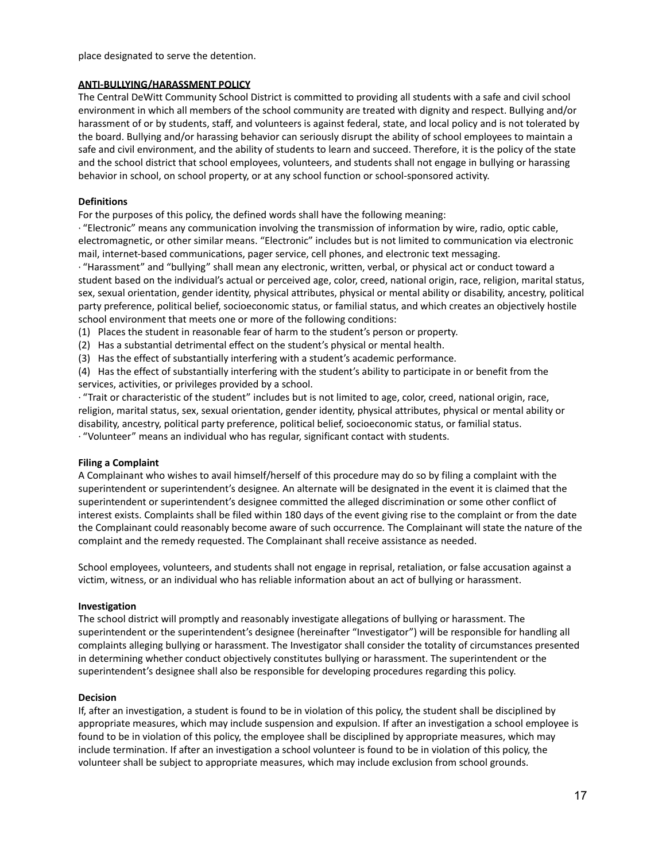place designated to serve the detention.

## **ANTI-BULLYING/HARASSMENT POLICY**

The Central DeWitt Community School District is committed to providing all students with a safe and civil school environment in which all members of the school community are treated with dignity and respect. Bullying and/or harassment of or by students, staff, and volunteers is against federal, state, and local policy and is not tolerated by the board. Bullying and/or harassing behavior can seriously disrupt the ability of school employees to maintain a safe and civil environment, and the ability of students to learn and succeed. Therefore, it is the policy of the state and the school district that school employees, volunteers, and students shall not engage in bullying or harassing behavior in school, on school property, or at any school function or school-sponsored activity.

## **Definitions**

For the purposes of this policy, the defined words shall have the following meaning:

· "Electronic" means any communication involving the transmission of information by wire, radio, optic cable, electromagnetic, or other similar means. "Electronic" includes but is not limited to communication via electronic mail, internet-based communications, pager service, cell phones, and electronic text messaging.

· "Harassment" and "bullying" shall mean any electronic, written, verbal, or physical act or conduct toward a student based on the individual's actual or perceived age, color, creed, national origin, race, religion, marital status, sex, sexual orientation, gender identity, physical attributes, physical or mental ability or disability, ancestry, political party preference, political belief, socioeconomic status, or familial status, and which creates an objectively hostile school environment that meets one or more of the following conditions:

(1) Places the student in reasonable fear of harm to the student's person or property.

(2) Has a substantial detrimental effect on the student's physical or mental health.

(3) Has the effect of substantially interfering with a student's academic performance.

(4) Has the effect of substantially interfering with the student's ability to participate in or benefit from the services, activities, or privileges provided by a school.

· "Trait or characteristic of the student" includes but is not limited to age, color, creed, national origin, race, religion, marital status, sex, sexual orientation, gender identity, physical attributes, physical or mental ability or disability, ancestry, political party preference, political belief, socioeconomic status, or familial status.

· "Volunteer" means an individual who has regular, significant contact with students.

### **Filing a Complaint**

A Complainant who wishes to avail himself/herself of this procedure may do so by filing a complaint with the superintendent or superintendent's designee*.* An alternate will be designated in the event it is claimed that the superintendent or superintendent's designee committed the alleged discrimination or some other conflict of interest exists. Complaints shall be filed within 180 days of the event giving rise to the complaint or from the date the Complainant could reasonably become aware of such occurrence*.* The Complainant will state the nature of the complaint and the remedy requested. The Complainant shall receive assistance as needed.

School employees, volunteers, and students shall not engage in reprisal, retaliation, or false accusation against a victim, witness, or an individual who has reliable information about an act of bullying or harassment.

### **Investigation**

The school district will promptly and reasonably investigate allegations of bullying or harassment. The superintendent or the superintendent's designee (hereinafter "Investigator") will be responsible for handling all complaints alleging bullying or harassment. The Investigator shall consider the totality of circumstances presented in determining whether conduct objectively constitutes bullying or harassment. The superintendent or the superintendent's designee shall also be responsible for developing procedures regarding this policy.

### **Decision**

If, after an investigation, a student is found to be in violation of this policy, the student shall be disciplined by appropriate measures, which may include suspension and expulsion. If after an investigation a school employee is found to be in violation of this policy, the employee shall be disciplined by appropriate measures, which may include termination. If after an investigation a school volunteer is found to be in violation of this policy, the volunteer shall be subject to appropriate measures, which may include exclusion from school grounds.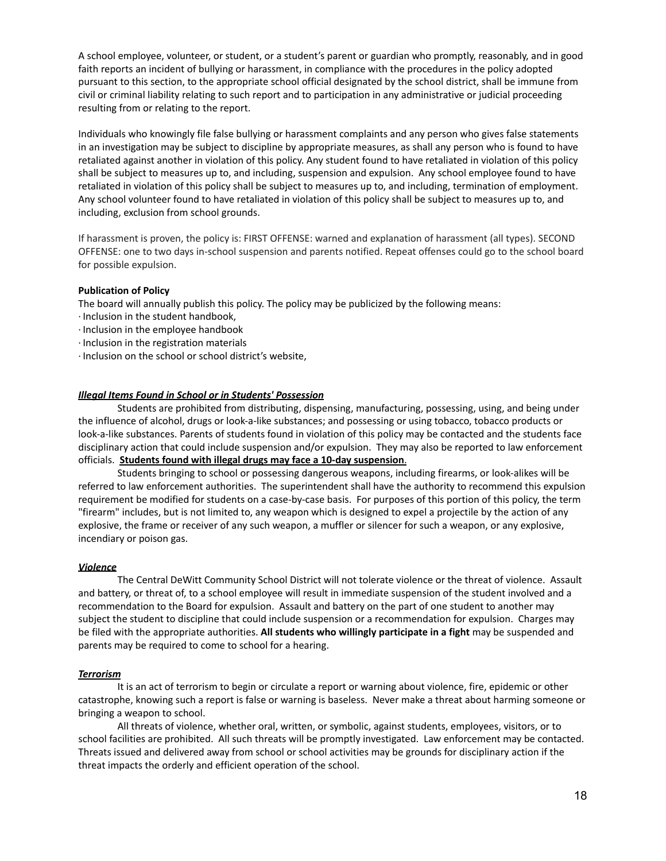A school employee, volunteer, or student, or a student's parent or guardian who promptly, reasonably, and in good faith reports an incident of bullying or harassment, in compliance with the procedures in the policy adopted pursuant to this section, to the appropriate school official designated by the school district, shall be immune from civil or criminal liability relating to such report and to participation in any administrative or judicial proceeding resulting from or relating to the report.

Individuals who knowingly file false bullying or harassment complaints and any person who gives false statements in an investigation may be subject to discipline by appropriate measures, as shall any person who is found to have retaliated against another in violation of this policy. Any student found to have retaliated in violation of this policy shall be subject to measures up to, and including, suspension and expulsion. Any school employee found to have retaliated in violation of this policy shall be subject to measures up to, and including, termination of employment. Any school volunteer found to have retaliated in violation of this policy shall be subject to measures up to, and including, exclusion from school grounds.

If harassment is proven, the policy is: FIRST OFFENSE: warned and explanation of harassment (all types). SECOND OFFENSE: one to two days in-school suspension and parents notified. Repeat offenses could go to the school board for possible expulsion.

### **Publication of Policy**

The board will annually publish this policy. The policy may be publicized by the following means:

- · Inclusion in the student handbook,
- · Inclusion in the employee handbook
- · Inclusion in the registration materials
- · Inclusion on the school or school district's website,

### *Illegal Items Found in School or in Students' Possession*

Students are prohibited from distributing, dispensing, manufacturing, possessing, using, and being under the influence of alcohol, drugs or look-a-like substances; and possessing or using tobacco, tobacco products or look-a-like substances. Parents of students found in violation of this policy may be contacted and the students face disciplinary action that could include suspension and/or expulsion. They may also be reported to law enforcement officials. **Students found with illegal drugs may face a 10-day suspension**.

Students bringing to school or possessing dangerous weapons, including firearms, or look-alikes will be referred to law enforcement authorities. The superintendent shall have the authority to recommend this expulsion requirement be modified for students on a case-by-case basis. For purposes of this portion of this policy, the term "firearm" includes, but is not limited to, any weapon which is designed to expel a projectile by the action of any explosive, the frame or receiver of any such weapon, a muffler or silencer for such a weapon, or any explosive, incendiary or poison gas.

#### *Violence*

The Central DeWitt Community School District will not tolerate violence or the threat of violence. Assault and battery, or threat of, to a school employee will result in immediate suspension of the student involved and a recommendation to the Board for expulsion. Assault and battery on the part of one student to another may subject the student to discipline that could include suspension or a recommendation for expulsion. Charges may be filed with the appropriate authorities. **All students who willingly participate in a fight** may be suspended and parents may be required to come to school for a hearing.

### *Terrorism*

It is an act of terrorism to begin or circulate a report or warning about violence, fire, epidemic or other catastrophe, knowing such a report is false or warning is baseless. Never make a threat about harming someone or bringing a weapon to school.

All threats of violence, whether oral, written, or symbolic, against students, employees, visitors, or to school facilities are prohibited. All such threats will be promptly investigated. Law enforcement may be contacted. Threats issued and delivered away from school or school activities may be grounds for disciplinary action if the threat impacts the orderly and efficient operation of the school.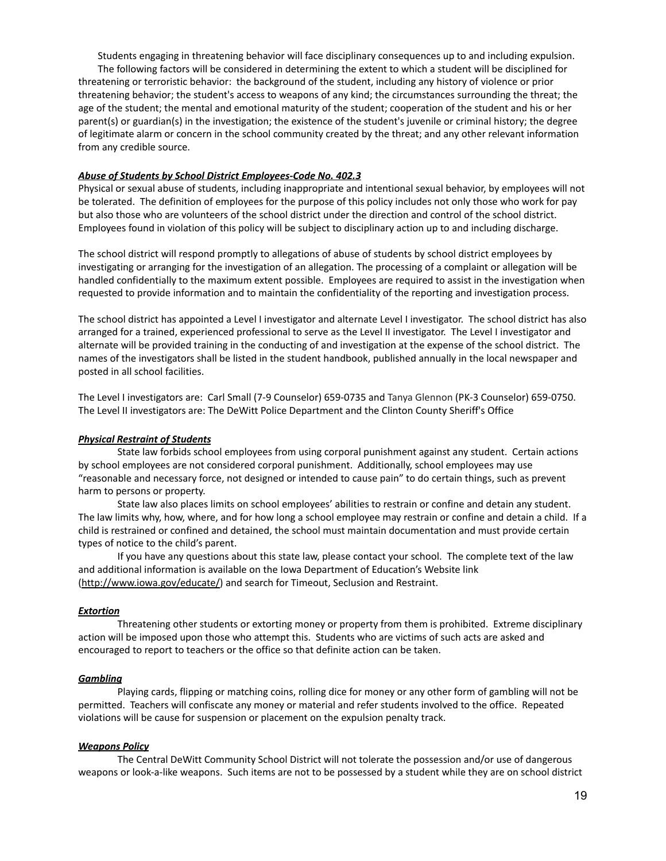Students engaging in threatening behavior will face disciplinary consequences up to and including expulsion. The following factors will be considered in determining the extent to which a student will be disciplined for threatening or terroristic behavior: the background of the student, including any history of violence or prior threatening behavior; the student's access to weapons of any kind; the circumstances surrounding the threat; the age of the student; the mental and emotional maturity of the student; cooperation of the student and his or her parent(s) or guardian(s) in the investigation; the existence of the student's juvenile or criminal history; the degree of legitimate alarm or concern in the school community created by the threat; and any other relevant information from any credible source.

### *Abuse of Students by School District Employees-Code No. 402.3*

Physical or sexual abuse of students, including inappropriate and intentional sexual behavior, by employees will not be tolerated. The definition of employees for the purpose of this policy includes not only those who work for pay but also those who are volunteers of the school district under the direction and control of the school district. Employees found in violation of this policy will be subject to disciplinary action up to and including discharge.

The school district will respond promptly to allegations of abuse of students by school district employees by investigating or arranging for the investigation of an allegation. The processing of a complaint or allegation will be handled confidentially to the maximum extent possible. Employees are required to assist in the investigation when requested to provide information and to maintain the confidentiality of the reporting and investigation process.

The school district has appointed a Level I investigator and alternate Level I investigator. The school district has also arranged for a trained, experienced professional to serve as the Level II investigator. The Level I investigator and alternate will be provided training in the conducting of and investigation at the expense of the school district. The names of the investigators shall be listed in the student handbook, published annually in the local newspaper and posted in all school facilities.

The Level I investigators are: Carl Small (7-9 Counselor) 659-0735 and Tanya Glennon (PK-3 Counselor) 659-0750. The Level II investigators are: The DeWitt Police Department and the Clinton County Sheriff's Office

### *Physical Restraint of Students*

State law forbids school employees from using corporal punishment against any student. Certain actions by school employees are not considered corporal punishment. Additionally, school employees may use "reasonable and necessary force, not designed or intended to cause pain" to do certain things, such as prevent harm to persons or property.

State law also places limits on school employees' abilities to restrain or confine and detain any student. The law limits why, how, where, and for how long a school employee may restrain or confine and detain a child. If a child is restrained or confined and detained, the school must maintain documentation and must provide certain types of notice to the child's parent.

If you have any questions about this state law, please contact your school. The complete text of the law and additional information is available on the Iowa Department of Education's Website link [\(http://www.iowa.gov/educate/](http://www.iowa.gov/educate/)) and search for Timeout, Seclusion and Restraint.

### *Extortion*

Threatening other students or extorting money or property from them is prohibited. Extreme disciplinary action will be imposed upon those who attempt this. Students who are victims of such acts are asked and encouraged to report to teachers or the office so that definite action can be taken.

#### *Gambling*

Playing cards, flipping or matching coins, rolling dice for money or any other form of gambling will not be permitted. Teachers will confiscate any money or material and refer students involved to the office. Repeated violations will be cause for suspension or placement on the expulsion penalty track.

#### *Weapons Policy*

The Central DeWitt Community School District will not tolerate the possession and/or use of dangerous weapons or look-a-like weapons. Such items are not to be possessed by a student while they are on school district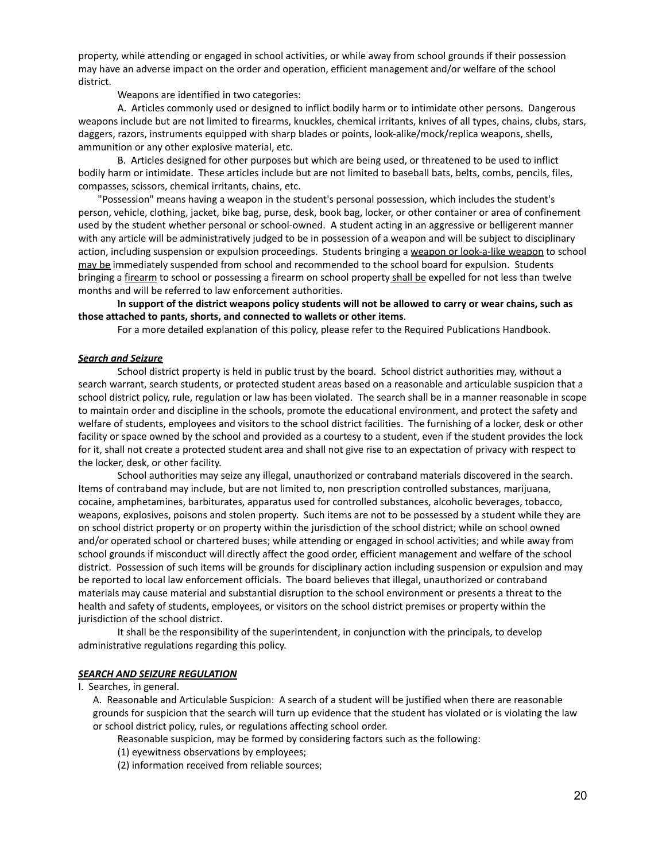property, while attending or engaged in school activities, or while away from school grounds if their possession may have an adverse impact on the order and operation, efficient management and/or welfare of the school district.

Weapons are identified in two categories:

A. Articles commonly used or designed to inflict bodily harm or to intimidate other persons. Dangerous weapons include but are not limited to firearms, knuckles, chemical irritants, knives of all types, chains, clubs, stars, daggers, razors, instruments equipped with sharp blades or points, look-alike/mock/replica weapons, shells, ammunition or any other explosive material, etc.

B. Articles designed for other purposes but which are being used, or threatened to be used to inflict bodily harm or intimidate. These articles include but are not limited to baseball bats, belts, combs, pencils, files, compasses, scissors, chemical irritants, chains, etc.

"Possession" means having a weapon in the student's personal possession, which includes the student's person, vehicle, clothing, jacket, bike bag, purse, desk, book bag, locker, or other container or area of confinement used by the student whether personal or school-owned. A student acting in an aggressive or belligerent manner with any article will be administratively judged to be in possession of a weapon and will be subject to disciplinary action, including suspension or expulsion proceedings. Students bringing a weapon or look-a-like weapon to school may be immediately suspended from school and recommended to the school board for expulsion. Students bringing a firearm to school or possessing a firearm on school property shall be expelled for not less than twelve months and will be referred to law enforcement authorities.

In support of the district weapons policy students will not be allowed to carry or wear chains, such as **those attached to pants, shorts, and connected to wallets or other items**.

For a more detailed explanation of this policy, please refer to the Required Publications Handbook.

### *Search and Seizure*

School district property is held in public trust by the board. School district authorities may, without a search warrant, search students, or protected student areas based on a reasonable and articulable suspicion that a school district policy, rule, regulation or law has been violated. The search shall be in a manner reasonable in scope to maintain order and discipline in the schools, promote the educational environment, and protect the safety and welfare of students, employees and visitors to the school district facilities. The furnishing of a locker, desk or other facility or space owned by the school and provided as a courtesy to a student, even if the student provides the lock for it, shall not create a protected student area and shall not give rise to an expectation of privacy with respect to the locker, desk, or other facility.

School authorities may seize any illegal, unauthorized or contraband materials discovered in the search. Items of contraband may include, but are not limited to, non prescription controlled substances, marijuana, cocaine, amphetamines, barbiturates, apparatus used for controlled substances, alcoholic beverages, tobacco, weapons, explosives, poisons and stolen property. Such items are not to be possessed by a student while they are on school district property or on property within the jurisdiction of the school district; while on school owned and/or operated school or chartered buses; while attending or engaged in school activities; and while away from school grounds if misconduct will directly affect the good order, efficient management and welfare of the school district. Possession of such items will be grounds for disciplinary action including suspension or expulsion and may be reported to local law enforcement officials. The board believes that illegal, unauthorized or contraband materials may cause material and substantial disruption to the school environment or presents a threat to the health and safety of students, employees, or visitors on the school district premises or property within the jurisdiction of the school district.

It shall be the responsibility of the superintendent, in conjunction with the principals, to develop administrative regulations regarding this policy.

#### *SEARCH AND SEIZURE REGULATION*

I. Searches, in general.

A. Reasonable and Articulable Suspicion: A search of a student will be justified when there are reasonable grounds for suspicion that the search will turn up evidence that the student has violated or is violating the law or school district policy, rules, or regulations affecting school order.

Reasonable suspicion, may be formed by considering factors such as the following:

- (1) eyewitness observations by employees;
- (2) information received from reliable sources;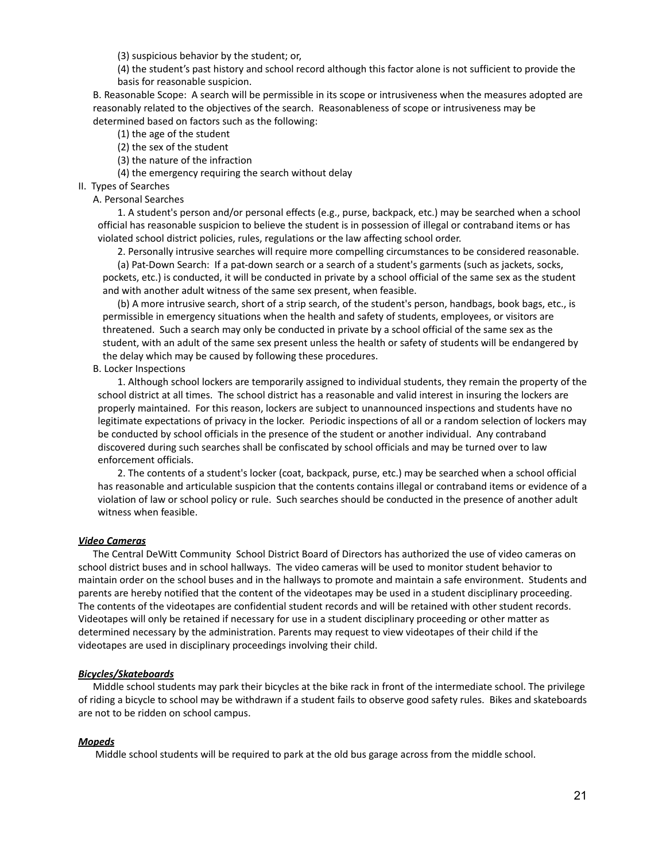(3) suspicious behavior by the student; or,

(4) the student's past history and school record although this factor alone is not sufficient to provide the basis for reasonable suspicion.

B. Reasonable Scope: A search will be permissible in its scope or intrusiveness when the measures adopted are reasonably related to the objectives of the search. Reasonableness of scope or intrusiveness may be determined based on factors such as the following:

- (1) the age of the student
- (2) the sex of the student
- (3) the nature of the infraction
- (4) the emergency requiring the search without delay
- II. Types of Searches

### A. Personal Searches

1. A student's person and/or personal effects (e.g., purse, backpack, etc.) may be searched when a school official has reasonable suspicion to believe the student is in possession of illegal or contraband items or has violated school district policies, rules, regulations or the law affecting school order.

2. Personally intrusive searches will require more compelling circumstances to be considered reasonable.

(a) Pat-Down Search: If a pat-down search or a search of a student's garments (such as jackets, socks, pockets, etc.) is conducted, it will be conducted in private by a school official of the same sex as the student and with another adult witness of the same sex present, when feasible.

(b) A more intrusive search, short of a strip search, of the student's person, handbags, book bags, etc., is permissible in emergency situations when the health and safety of students, employees, or visitors are threatened. Such a search may only be conducted in private by a school official of the same sex as the student, with an adult of the same sex present unless the health or safety of students will be endangered by the delay which may be caused by following these procedures.

B. Locker Inspections

1. Although school lockers are temporarily assigned to individual students, they remain the property of the school district at all times. The school district has a reasonable and valid interest in insuring the lockers are properly maintained. For this reason, lockers are subject to unannounced inspections and students have no legitimate expectations of privacy in the locker. Periodic inspections of all or a random selection of lockers may be conducted by school officials in the presence of the student or another individual. Any contraband discovered during such searches shall be confiscated by school officials and may be turned over to law enforcement officials.

2. The contents of a student's locker (coat, backpack, purse, etc.) may be searched when a school official has reasonable and articulable suspicion that the contents contains illegal or contraband items or evidence of a violation of law or school policy or rule. Such searches should be conducted in the presence of another adult witness when feasible.

#### *Video Cameras*

The Central DeWitt Community School District Board of Directors has authorized the use of video cameras on school district buses and in school hallways. The video cameras will be used to monitor student behavior to maintain order on the school buses and in the hallways to promote and maintain a safe environment. Students and parents are hereby notified that the content of the videotapes may be used in a student disciplinary proceeding. The contents of the videotapes are confidential student records and will be retained with other student records. Videotapes will only be retained if necessary for use in a student disciplinary proceeding or other matter as determined necessary by the administration. Parents may request to view videotapes of their child if the videotapes are used in disciplinary proceedings involving their child.

#### *Bicycles/Skateboards*

Middle school students may park their bicycles at the bike rack in front of the intermediate school. The privilege of riding a bicycle to school may be withdrawn if a student fails to observe good safety rules. Bikes and skateboards are not to be ridden on school campus.

#### *Mopeds*

Middle school students will be required to park at the old bus garage across from the middle school.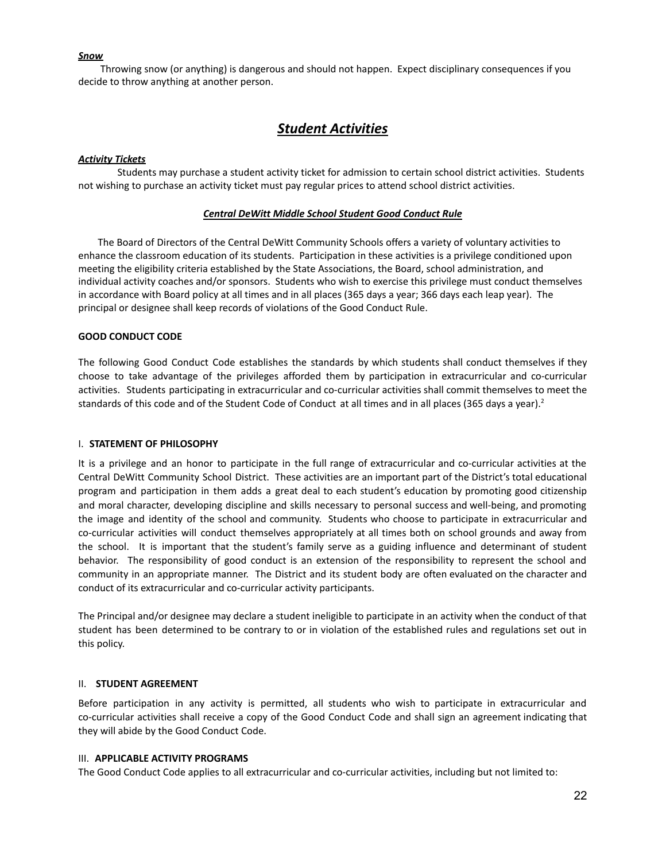## *Snow*

Throwing snow (or anything) is dangerous and should not happen. Expect disciplinary consequences if you decide to throw anything at another person.

## *Student Activities*

### *Activity Tickets*

Students may purchase a student activity ticket for admission to certain school district activities. Students not wishing to purchase an activity ticket must pay regular prices to attend school district activities.

### *Central DeWitt Middle School Student Good Conduct Rule*

The Board of Directors of the Central DeWitt Community Schools offers a variety of voluntary activities to enhance the classroom education of its students. Participation in these activities is a privilege conditioned upon meeting the eligibility criteria established by the State Associations, the Board, school administration, and individual activity coaches and/or sponsors. Students who wish to exercise this privilege must conduct themselves in accordance with Board policy at all times and in all places (365 days a year; 366 days each leap year). The principal or designee shall keep records of violations of the Good Conduct Rule.

### **GOOD CONDUCT CODE**

The following Good Conduct Code establishes the standards by which students shall conduct themselves if they choose to take advantage of the privileges afforded them by participation in extracurricular and co-curricular activities. Students participating in extracurricular and co-curricular activities shall commit themselves to meet the standards of this code and of the Student Code of Conduct at all times and in all places (365 days a year).<sup>2</sup>

### I. **STATEMENT OF PHILOSOPHY**

It is a privilege and an honor to participate in the full range of extracurricular and co-curricular activities at the Central DeWitt Community School District. These activities are an important part of the District's total educational program and participation in them adds a great deal to each student's education by promoting good citizenship and moral character, developing discipline and skills necessary to personal success and well-being, and promoting the image and identity of the school and community. Students who choose to participate in extracurricular and co-curricular activities will conduct themselves appropriately at all times both on school grounds and away from the school. It is important that the student's family serve as a guiding influence and determinant of student behavior. The responsibility of good conduct is an extension of the responsibility to represent the school and community in an appropriate manner. The District and its student body are often evaluated on the character and conduct of its extracurricular and co-curricular activity participants.

The Principal and/or designee may declare a student ineligible to participate in an activity when the conduct of that student has been determined to be contrary to or in violation of the established rules and regulations set out in this policy.

### II. **STUDENT AGREEMENT**

Before participation in any activity is permitted, all students who wish to participate in extracurricular and co-curricular activities shall receive a copy of the Good Conduct Code and shall sign an agreement indicating that they will abide by the Good Conduct Code.

## III. **APPLICABLE ACTIVITY PROGRAMS**

The Good Conduct Code applies to all extracurricular and co-curricular activities, including but not limited to: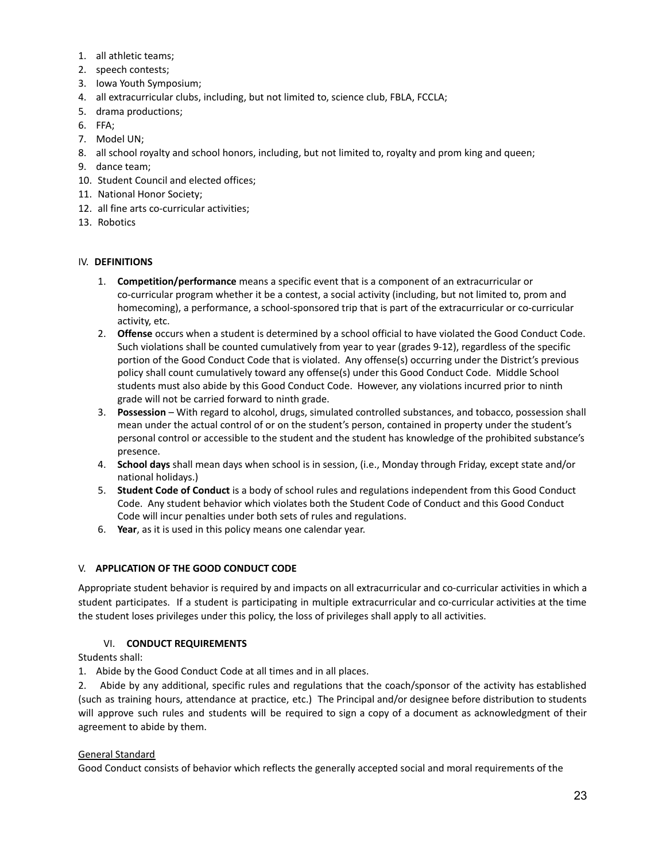- 1. all athletic teams;
- 2. speech contests;
- 3. Iowa Youth Symposium;
- 4. all extracurricular clubs, including, but not limited to, science club, FBLA, FCCLA;
- 5. drama productions;
- 6. FFA;
- 7. Model UN;
- 8. all school royalty and school honors, including, but not limited to, royalty and prom king and queen;
- 9. dance team;
- 10. Student Council and elected offices;
- 11. National Honor Society;
- 12. all fine arts co-curricular activities;
- 13. Robotics

## IV. **DEFINITIONS**

- 1. **Competition/performance** means a specific event that is a component of an extracurricular or co-curricular program whether it be a contest, a social activity (including, but not limited to, prom and homecoming), a performance, a school-sponsored trip that is part of the extracurricular or co-curricular activity, etc.
- 2. **Offense** occurs when a student is determined by a school official to have violated the Good Conduct Code. Such violations shall be counted cumulatively from year to year (grades 9-12), regardless of the specific portion of the Good Conduct Code that is violated. Any offense(s) occurring under the District's previous policy shall count cumulatively toward any offense(s) under this Good Conduct Code. Middle School students must also abide by this Good Conduct Code. However, any violations incurred prior to ninth grade will not be carried forward to ninth grade.
- 3. **Possession** With regard to alcohol, drugs, simulated controlled substances, and tobacco, possession shall mean under the actual control of or on the student's person, contained in property under the student's personal control or accessible to the student and the student has knowledge of the prohibited substance's presence.
- 4. **School days** shall mean days when school is in session, (i.e., Monday through Friday, except state and/or national holidays.)
- 5. **Student Code of Conduct** is a body of school rules and regulations independent from this Good Conduct Code. Any student behavior which violates both the Student Code of Conduct and this Good Conduct Code will incur penalties under both sets of rules and regulations.
- 6. **Year**, as it is used in this policy means one calendar year.

## V. **APPLICATION OF THE GOOD CONDUCT CODE**

Appropriate student behavior is required by and impacts on all extracurricular and co-curricular activities in which a student participates. If a student is participating in multiple extracurricular and co-curricular activities at the time the student loses privileges under this policy, the loss of privileges shall apply to all activities.

## VI. **CONDUCT REQUIREMENTS**

Students shall:

1. Abide by the Good Conduct Code at all times and in all places.

2. Abide by any additional, specific rules and regulations that the coach/sponsor of the activity has established (such as training hours, attendance at practice, etc.) The Principal and/or designee before distribution to students will approve such rules and students will be required to sign a copy of a document as acknowledgment of their agreement to abide by them.

## General Standard

Good Conduct consists of behavior which reflects the generally accepted social and moral requirements of the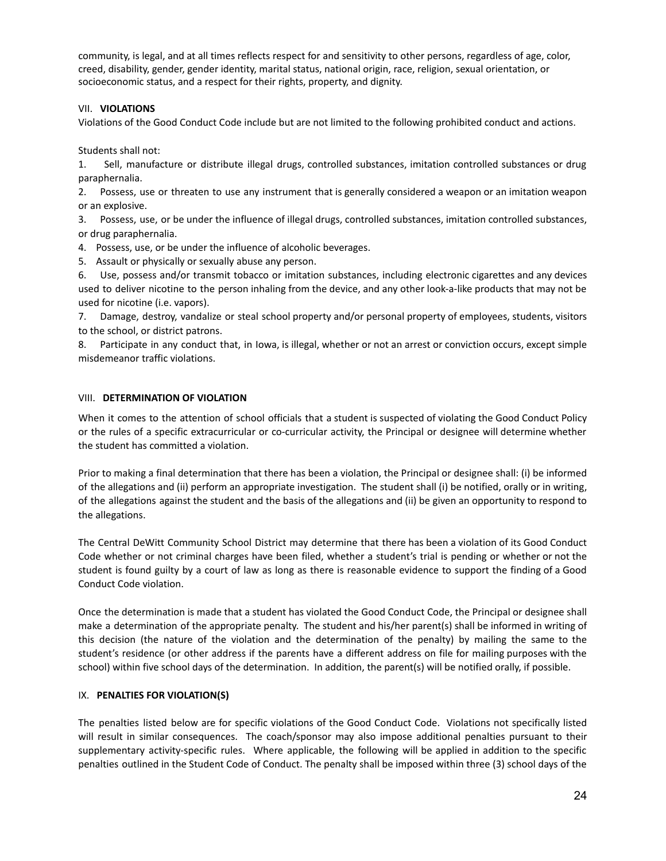community, is legal, and at all times reflects respect for and sensitivity to other persons, regardless of age, color, creed, disability, gender, gender identity, marital status, national origin, race, religion, sexual orientation, or socioeconomic status, and a respect for their rights, property, and dignity.

## VII. **VIOLATIONS**

Violations of the Good Conduct Code include but are not limited to the following prohibited conduct and actions.

Students shall not:

1. Sell, manufacture or distribute illegal drugs, controlled substances, imitation controlled substances or drug paraphernalia.

2. Possess, use or threaten to use any instrument that is generally considered a weapon or an imitation weapon or an explosive.

3. Possess, use, or be under the influence of illegal drugs, controlled substances, imitation controlled substances, or drug paraphernalia.

4. Possess, use, or be under the influence of alcoholic beverages.

5. Assault or physically or sexually abuse any person.

6. Use, possess and/or transmit tobacco or imitation substances, including electronic cigarettes and any devices used to deliver nicotine to the person inhaling from the device, and any other look-a-like products that may not be used for nicotine (i.e. vapors).

7. Damage, destroy, vandalize or steal school property and/or personal property of employees, students, visitors to the school, or district patrons.

8. Participate in any conduct that, in Iowa, is illegal, whether or not an arrest or conviction occurs, except simple misdemeanor traffic violations.

## VIII. **DETERMINATION OF VIOLATION**

When it comes to the attention of school officials that a student is suspected of violating the Good Conduct Policy or the rules of a specific extracurricular or co-curricular activity, the Principal or designee will determine whether the student has committed a violation.

Prior to making a final determination that there has been a violation, the Principal or designee shall: (i) be informed of the allegations and (ii) perform an appropriate investigation. The student shall (i) be notified, orally or in writing, of the allegations against the student and the basis of the allegations and (ii) be given an opportunity to respond to the allegations.

The Central DeWitt Community School District may determine that there has been a violation of its Good Conduct Code whether or not criminal charges have been filed, whether a student's trial is pending or whether or not the student is found guilty by a court of law as long as there is reasonable evidence to support the finding of a Good Conduct Code violation.

Once the determination is made that a student has violated the Good Conduct Code, the Principal or designee shall make a determination of the appropriate penalty. The student and his/her parent(s) shall be informed in writing of this decision (the nature of the violation and the determination of the penalty) by mailing the same to the student's residence (or other address if the parents have a different address on file for mailing purposes with the school) within five school days of the determination. In addition, the parent(s) will be notified orally, if possible.

## IX. **PENALTIES FOR VIOLATION(S)**

The penalties listed below are for specific violations of the Good Conduct Code. Violations not specifically listed will result in similar consequences. The coach/sponsor may also impose additional penalties pursuant to their supplementary activity-specific rules. Where applicable, the following will be applied in addition to the specific penalties outlined in the Student Code of Conduct. The penalty shall be imposed within three (3) school days of the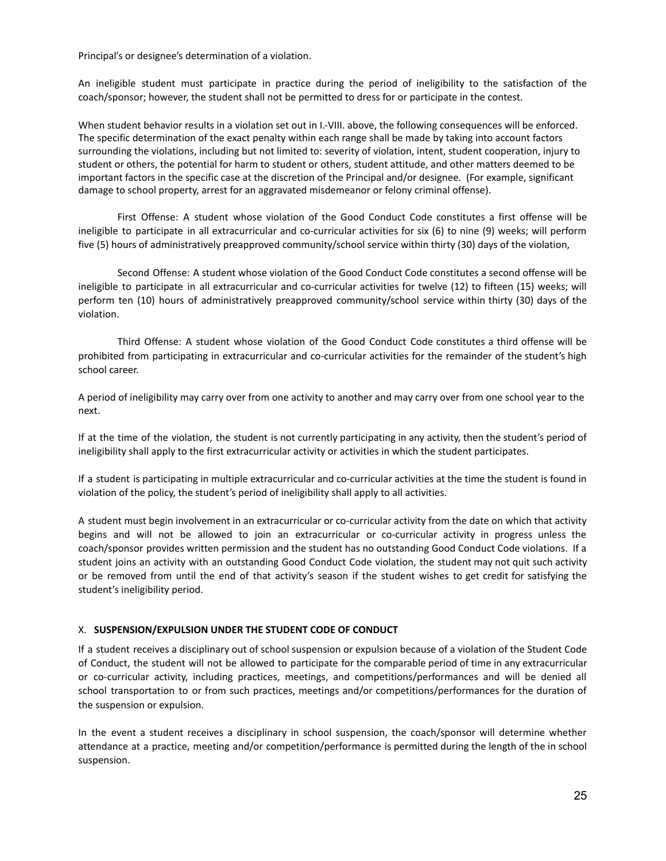Principal's or designee's determination of a violation.

An ineligible student must participate in practice during the period of ineligibility to the satisfaction of the coach/sponsor; however, the student shall not be permitted to dress for or participate in the contest.

When student behavior results in a violation set out in I.-VIII. above, the following consequences will be enforced. The specific determination of the exact penalty within each range shall be made by taking into account factors surrounding the violations, including but not limited to: severity of violation, intent, student cooperation, injury to student or others, the potential for harm to student or others, student attitude, and other matters deemed to be important factors in the specific case at the discretion of the Principal and/or designee. (For example, significant damage to school property, arrest for an aggravated misdemeanor or felony criminal offense).

First Offense: A student whose violation of the Good Conduct Code constitutes a first offense will be ineligible to participate in all extracurricular and co-curricular activities for six (6) to nine (9) weeks; will perform five (5) hours of administratively preapproved community/school service within thirty (30) days of the violation,

Second Offense: A student whose violation of the Good Conduct Code constitutes a second offense will be ineligible to participate in all extracurricular and co-curricular activities for twelve (12) to fifteen (15) weeks; will perform ten (10) hours of administratively preapproved community/school service within thirty (30) days of the violation.

Third Offense: A student whose violation of the Good Conduct Code constitutes a third offense will be prohibited from participating in extracurricular and co-curricular activities for the remainder of the student's high school career.

A period of ineligibility may carry over from one activity to another and may carry over from one school year to the next.

If at the time of the violation, the student is not currently participating in any activity, then the student's period of ineligibility shall apply to the first extracurricular activity or activities in which the student participates.

If a student is participating in multiple extracurricular and co-curricular activities at the time the student is found in violation of the policy, the student's period of ineligibility shall apply to all activities.

A student must begin involvement in an extracurricular or co-curricular activity from the date on which that activity begins and will not be allowed to join an extracurricular or co-curricular activity in progress unless the coach/sponsor provides written permission and the student has no outstanding Good Conduct Code violations. If a student joins an activity with an outstanding Good Conduct Code violation, the student may not quit such activity or be removed from until the end of that activity's season if the student wishes to get credit for satisfying the student's ineligibility period.

## X. **SUSPENSION/EXPULSION UNDER THE STUDENT CODE OF CONDUCT**

If a student receives a disciplinary out of school suspension or expulsion because of a violation of the Student Code of Conduct, the student will not be allowed to participate for the comparable period of time in any extracurricular or co-curricular activity, including practices, meetings, and competitions/performances and will be denied all school transportation to or from such practices, meetings and/or competitions/performances for the duration of the suspension or expulsion.

In the event a student receives a disciplinary in school suspension, the coach/sponsor will determine whether attendance at a practice, meeting and/or competition/performance is permitted during the length of the in school suspension.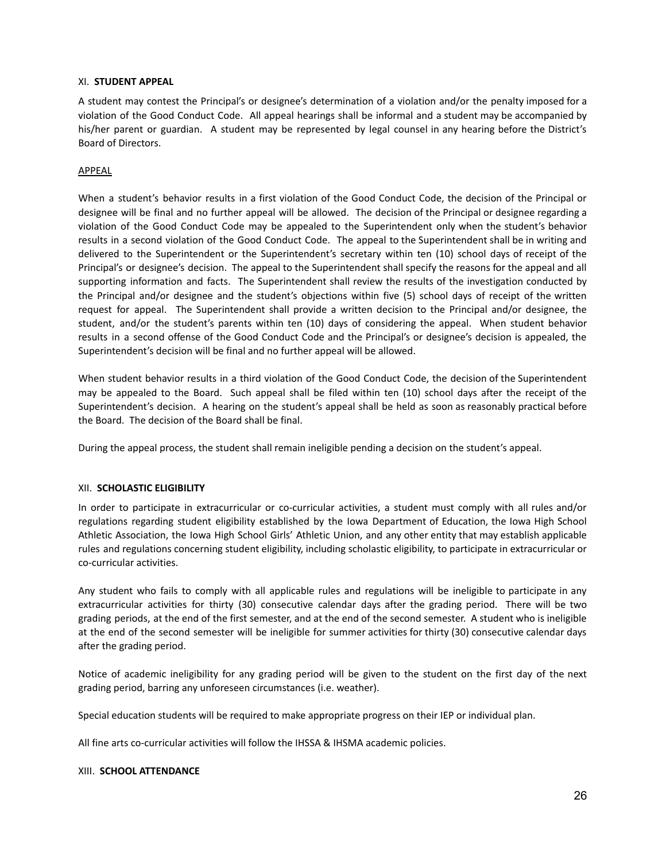## XI. **STUDENT APPEAL**

A student may contest the Principal's or designee's determination of a violation and/or the penalty imposed for a violation of the Good Conduct Code. All appeal hearings shall be informal and a student may be accompanied by his/her parent or guardian. A student may be represented by legal counsel in any hearing before the District's Board of Directors.

## APPEAL

When a student's behavior results in a first violation of the Good Conduct Code, the decision of the Principal or designee will be final and no further appeal will be allowed. The decision of the Principal or designee regarding a violation of the Good Conduct Code may be appealed to the Superintendent only when the student's behavior results in a second violation of the Good Conduct Code. The appeal to the Superintendent shall be in writing and delivered to the Superintendent or the Superintendent's secretary within ten (10) school days of receipt of the Principal's or designee's decision. The appeal to the Superintendent shall specify the reasons for the appeal and all supporting information and facts. The Superintendent shall review the results of the investigation conducted by the Principal and/or designee and the student's objections within five (5) school days of receipt of the written request for appeal. The Superintendent shall provide a written decision to the Principal and/or designee, the student, and/or the student's parents within ten (10) days of considering the appeal. When student behavior results in a second offense of the Good Conduct Code and the Principal's or designee's decision is appealed, the Superintendent's decision will be final and no further appeal will be allowed.

When student behavior results in a third violation of the Good Conduct Code, the decision of the Superintendent may be appealed to the Board. Such appeal shall be filed within ten (10) school days after the receipt of the Superintendent's decision. A hearing on the student's appeal shall be held as soon as reasonably practical before the Board. The decision of the Board shall be final.

During the appeal process, the student shall remain ineligible pending a decision on the student's appeal.

### XII. **SCHOLASTIC ELIGIBILITY**

In order to participate in extracurricular or co-curricular activities, a student must comply with all rules and/or regulations regarding student eligibility established by the Iowa Department of Education, the Iowa High School Athletic Association, the Iowa High School Girls' Athletic Union, and any other entity that may establish applicable rules and regulations concerning student eligibility, including scholastic eligibility, to participate in extracurricular or co-curricular activities.

Any student who fails to comply with all applicable rules and regulations will be ineligible to participate in any extracurricular activities for thirty (30) consecutive calendar days after the grading period. There will be two grading periods, at the end of the first semester, and at the end of the second semester. A student who is ineligible at the end of the second semester will be ineligible for summer activities for thirty (30) consecutive calendar days after the grading period.

Notice of academic ineligibility for any grading period will be given to the student on the first day of the next grading period, barring any unforeseen circumstances (i.e. weather).

Special education students will be required to make appropriate progress on their IEP or individual plan.

All fine arts co-curricular activities will follow the IHSSA & IHSMA academic policies.

### XIII. **SCHOOL ATTENDANCE**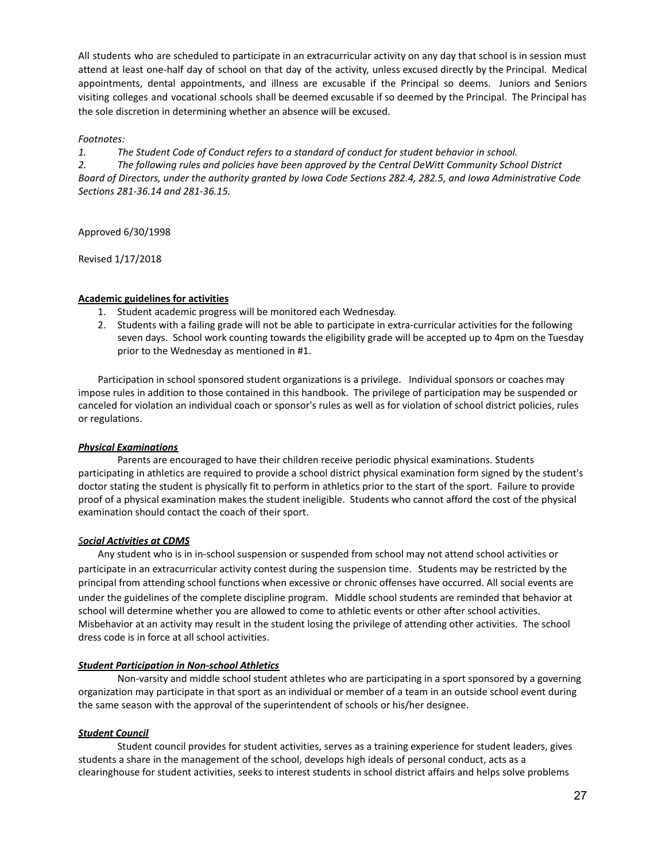All students who are scheduled to participate in an extracurricular activity on any day that school is in session must attend at least one-half day of school on that day of the activity, unless excused directly by the Principal. Medical appointments, dental appointments, and illness are excusable if the Principal so deems. Juniors and Seniors visiting colleges and vocational schools shall be deemed excusable if so deemed by the Principal. The Principal has the sole discretion in determining whether an absence will be excused.

## *Footnotes:*

*1. The Student Code of Conduct refers to a standard of conduct for student behavior in school.*

*2. The following rules and policies have been approved by the Central DeWitt Community School District* Board of Directors, under the authority granted by Iowa Code Sections 282.4, 282.5, and Iowa Administrative Code *Sections 281-36.14 and 281-36.15.*

Approved 6/30/1998

Revised 1/17/2018

## **Academic guidelines for activities**

- 1. Student academic progress will be monitored each Wednesday.
- 2. Students with a failing grade will not be able to participate in extra-curricular activities for the following seven days. School work counting towards the eligibility grade will be accepted up to 4pm on the Tuesday prior to the Wednesday as mentioned in #1.

Participation in school sponsored student organizations is a privilege. Individual sponsors or coaches may impose rules in addition to those contained in this handbook. The privilege of participation may be suspended or canceled for violation an individual coach or sponsor's rules as well as for violation of school district policies, rules or regulations.

## *Physical Examinations*

Parents are encouraged to have their children receive periodic physical examinations. Students participating in athletics are required to provide a school district physical examination form signed by the student's doctor stating the student is physically fit to perform in athletics prior to the start of the sport. Failure to provide proof of a physical examination makes the student ineligible. Students who cannot afford the cost of the physical examination should contact the coach of their sport.

## *Social Activities at CDMS*

Any student who is in in-school suspension or suspended from school may not attend school activities or participate in an extracurricular activity contest during the suspension time. Students may be restricted by the principal from attending school functions when excessive or chronic offenses have occurred. All social events are under the guidelines of the complete discipline program. Middle school students are reminded that behavior at school will determine whether you are allowed to come to athletic events or other after school activities. Misbehavior at an activity may result in the student losing the privilege of attending other activities. The school dress code is in force at all school activities.

## *Student Participation in Non-school Athletics*

Non-varsity and middle school student athletes who are participating in a sport sponsored by a governing organization may participate in that sport as an individual or member of a team in an outside school event during the same season with the approval of the superintendent of schools or his/her designee.

## *Student Council*

Student council provides for student activities, serves as a training experience for student leaders, gives students a share in the management of the school, develops high ideals of personal conduct, acts as a clearinghouse for student activities, seeks to interest students in school district affairs and helps solve problems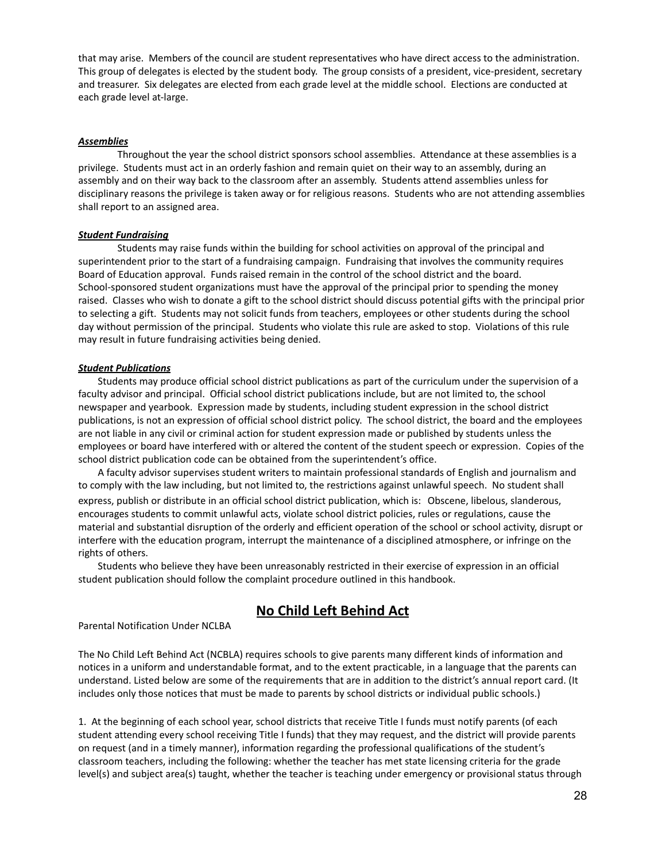that may arise. Members of the council are student representatives who have direct access to the administration. This group of delegates is elected by the student body. The group consists of a president, vice-president, secretary and treasurer. Six delegates are elected from each grade level at the middle school. Elections are conducted at each grade level at-large.

### *Assemblies*

Throughout the year the school district sponsors school assemblies. Attendance at these assemblies is a privilege. Students must act in an orderly fashion and remain quiet on their way to an assembly, during an assembly and on their way back to the classroom after an assembly. Students attend assemblies unless for disciplinary reasons the privilege is taken away or for religious reasons. Students who are not attending assemblies shall report to an assigned area.

### *Student Fundraising*

Students may raise funds within the building for school activities on approval of the principal and superintendent prior to the start of a fundraising campaign. Fundraising that involves the community requires Board of Education approval. Funds raised remain in the control of the school district and the board. School-sponsored student organizations must have the approval of the principal prior to spending the money raised. Classes who wish to donate a gift to the school district should discuss potential gifts with the principal prior to selecting a gift. Students may not solicit funds from teachers, employees or other students during the school day without permission of the principal. Students who violate this rule are asked to stop. Violations of this rule may result in future fundraising activities being denied.

#### *Student Publications*

Students may produce official school district publications as part of the curriculum under the supervision of a faculty advisor and principal. Official school district publications include, but are not limited to, the school newspaper and yearbook. Expression made by students, including student expression in the school district publications, is not an expression of official school district policy. The school district, the board and the employees are not liable in any civil or criminal action for student expression made or published by students unless the employees or board have interfered with or altered the content of the student speech or expression. Copies of the school district publication code can be obtained from the superintendent's office.

A faculty advisor supervises student writers to maintain professional standards of English and journalism and to comply with the law including, but not limited to, the restrictions against unlawful speech. No student shall express, publish or distribute in an official school district publication, which is: Obscene, libelous, slanderous, encourages students to commit unlawful acts, violate school district policies, rules or regulations, cause the material and substantial disruption of the orderly and efficient operation of the school or school activity, disrupt or interfere with the education program, interrupt the maintenance of a disciplined atmosphere, or infringe on the rights of others.

Students who believe they have been unreasonably restricted in their exercise of expression in an official student publication should follow the complaint procedure outlined in this handbook.

## **No Child Left Behind Act**

Parental Notification Under NCLBA

The No Child Left Behind Act (NCBLA) requires schools to give parents many different kinds of information and notices in a uniform and understandable format, and to the extent practicable, in a language that the parents can understand. Listed below are some of the requirements that are in addition to the district's annual report card. (It includes only those notices that must be made to parents by school districts or individual public schools.)

1. At the beginning of each school year, school districts that receive Title I funds must notify parents (of each student attending every school receiving Title I funds) that they may request, and the district will provide parents on request (and in a timely manner), information regarding the professional qualifications of the student's classroom teachers, including the following: whether the teacher has met state licensing criteria for the grade level(s) and subject area(s) taught, whether the teacher is teaching under emergency or provisional status through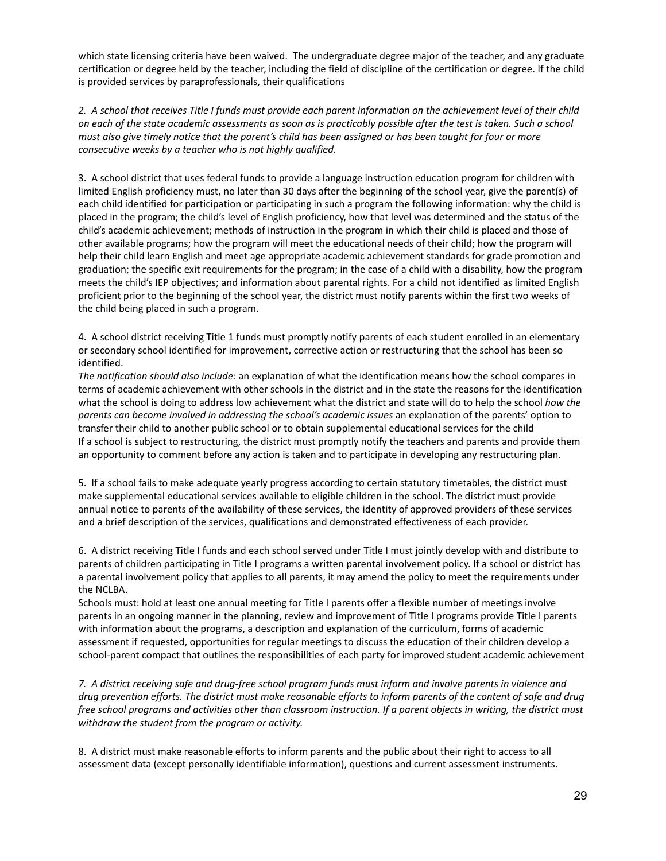which state licensing criteria have been waived. The undergraduate degree major of the teacher, and any graduate certification or degree held by the teacher, including the field of discipline of the certification or degree. If the child is provided services by paraprofessionals, their qualifications

2. A school that receives Title I funds must provide each parent information on the achievement level of their child on each of the state academic assessments as soon as is practicably possible after the test is taken. Such a school must also give timely notice that the parent's child has been assigned or has been taught for four or more *consecutive weeks by a teacher who is not highly qualified.*

3. A school district that uses federal funds to provide a language instruction education program for children with limited English proficiency must, no later than 30 days after the beginning of the school year, give the parent(s) of each child identified for participation or participating in such a program the following information: why the child is placed in the program; the child's level of English proficiency, how that level was determined and the status of the child's academic achievement; methods of instruction in the program in which their child is placed and those of other available programs; how the program will meet the educational needs of their child; how the program will help their child learn English and meet age appropriate academic achievement standards for grade promotion and graduation; the specific exit requirements for the program; in the case of a child with a disability, how the program meets the child's IEP objectives; and information about parental rights. For a child not identified as limited English proficient prior to the beginning of the school year, the district must notify parents within the first two weeks of the child being placed in such a program.

4. A school district receiving Title 1 funds must promptly notify parents of each student enrolled in an elementary or secondary school identified for improvement, corrective action or restructuring that the school has been so identified.

*The notification should also include:* an explanation of what the identification means how the school compares in terms of academic achievement with other schools in the district and in the state the reasons for the identification what the school is doing to address low achievement what the district and state will do to help the school *how the parents can become involved in addressing the school's academic issues* an explanation of the parents' option to transfer their child to another public school or to obtain supplemental educational services for the child If a school is subject to restructuring, the district must promptly notify the teachers and parents and provide them an opportunity to comment before any action is taken and to participate in developing any restructuring plan.

5. If a school fails to make adequate yearly progress according to certain statutory timetables, the district must make supplemental educational services available to eligible children in the school. The district must provide annual notice to parents of the availability of these services, the identity of approved providers of these services and a brief description of the services, qualifications and demonstrated effectiveness of each provider.

6. A district receiving Title I funds and each school served under Title I must jointly develop with and distribute to parents of children participating in Title I programs a written parental involvement policy. If a school or district has a parental involvement policy that applies to all parents, it may amend the policy to meet the requirements under the NCLBA.

Schools must: hold at least one annual meeting for Title I parents offer a flexible number of meetings involve parents in an ongoing manner in the planning, review and improvement of Title I programs provide Title I parents with information about the programs, a description and explanation of the curriculum, forms of academic assessment if requested, opportunities for regular meetings to discuss the education of their children develop a school-parent compact that outlines the responsibilities of each party for improved student academic achievement

7. A district receiving safe and drug-free school program funds must inform and involve parents in violence and drug prevention efforts. The district must make reasonable efforts to inform parents of the content of safe and drug free school programs and activities other than classroom instruction. If a parent objects in writing, the district must *withdraw the student from the program or activity.*

8. A district must make reasonable efforts to inform parents and the public about their right to access to all assessment data (except personally identifiable information), questions and current assessment instruments.